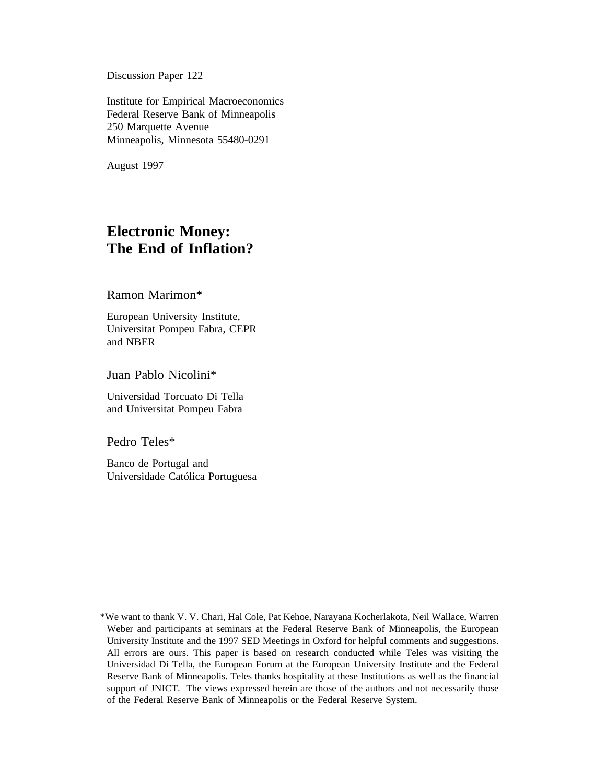Discussion Paper 122

Institute for Empirical Macroeconomics Federal Reserve Bank of Minneapolis 250 Marquette Avenue Minneapolis, Minnesota 55480-0291

August 1997

## **Electronic Money: The End of Inflation?**

Ramon Marimon\*

European University Institute, Universitat Pompeu Fabra, CEPR and NBER

Juan Pablo Nicolini\*

Universidad Torcuato Di Tella and Universitat Pompeu Fabra

Pedro Teles\*

Banco de Portugal and Universidade Católica Portuguesa

<sup>\*</sup>We want to thank V. V. Chari, Hal Cole, Pat Kehoe, Narayana Kocherlakota, Neil Wallace, Warren Weber and participants at seminars at the Federal Reserve Bank of Minneapolis, the European University Institute and the 1997 SED Meetings in Oxford for helpful comments and suggestions. All errors are ours. This paper is based on research conducted while Teles was visiting the Universidad Di Tella, the European Forum at the European University Institute and the Federal Reserve Bank of Minneapolis. Teles thanks hospitality at these Institutions as well as the financial support of JNICT. The views expressed herein are those of the authors and not necessarily those of the Federal Reserve Bank of Minneapolis or the Federal Reserve System.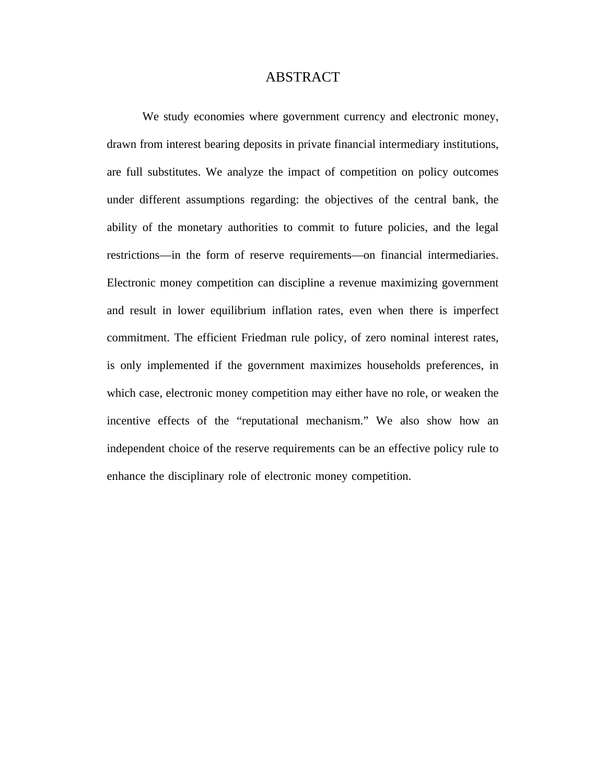## ABSTRACT

We study economies where government currency and electronic money, drawn from interest bearing deposits in private financial intermediary institutions, are full substitutes. We analyze the impact of competition on policy outcomes under different assumptions regarding: the objectives of the central bank, the ability of the monetary authorities to commit to future policies, and the legal restrictions—in the form of reserve requirements—on financial intermediaries. Electronic money competition can discipline a revenue maximizing government and result in lower equilibrium inflation rates, even when there is imperfect commitment. The efficient Friedman rule policy, of zero nominal interest rates, is only implemented if the government maximizes households preferences, in which case, electronic money competition may either have no role, or weaken the incentive effects of the "reputational mechanism." We also show how an independent choice of the reserve requirements can be an effective policy rule to enhance the disciplinary role of electronic money competition.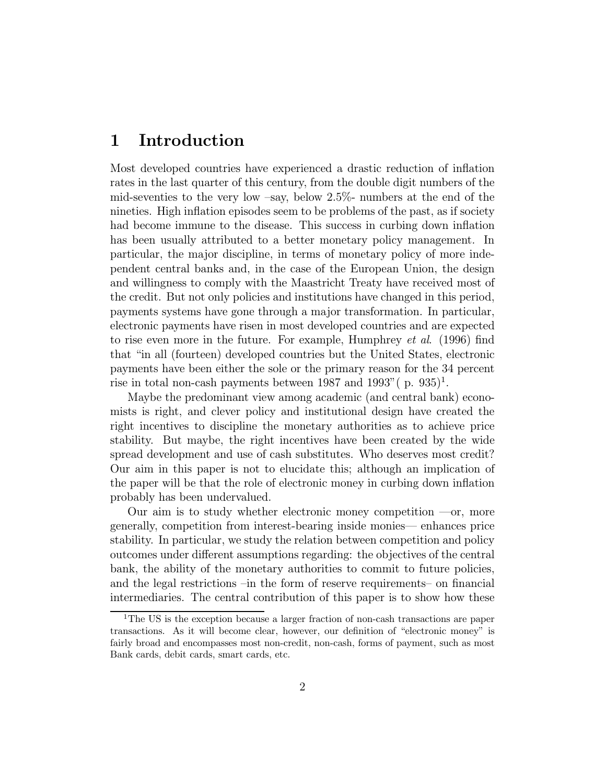### Introduction 1

Most developed countries have experienced a drastic reduction of inflation rates in the last quarter of this century, from the double digit numbers of the mid-seventies to the very low  $-say$ , below 2.5% numbers at the end of the nineties. High inflation episodes seem to be problems of the past, as if society had become immune to the disease. This success in curbing down inflation has been usually attributed to a better monetary policy management. In particular, the major discipline, in terms of monetary policy of more independent central banks and, in the case of the European Union, the design and willingness to comply with the Maastricht Treaty have received most of the credit. But not only policies and institutions have changed in this period, payments systems have gone through a major transformation. In particular, electronic payments have risen in most developed countries and are expected to rise even more in the future. For example, Humphrey *et al.* (1996) find that "in all (fourteen) developed countries but the United States, electronic payments have been either the sole or the primary reason for the 34 percent rise in total non-cash payments between 1987 and 1993" (p. 935)<sup>1</sup>.

Maybe the predominant view among academic (and central bank) economists is right, and clever policy and institutional design have created the right incentives to discipline the monetary authorities as to achieve price stability. But maybe, the right incentives have been created by the wide spread development and use of cash substitutes. Who deserves most credit? Our aim in this paper is not to elucidate this; although an implication of the paper will be that the role of electronic money in curbing down inflation probably has been undervalued.

Our aim is to study whether electronic money competition  $\sim$ or, more generally, competition from interest-bearing inside monies— enhances price stability. In particular, we study the relation between competition and policy outcomes under different assumptions regarding: the objectives of the central bank, the ability of the monetary authorities to commit to future policies, and the legal restrictions –in the form of reserve requirements– on financial intermediaries. The central contribution of this paper is to show how these

<sup>&</sup>lt;sup>1</sup>The US is the exception because a larger fraction of non-cash transactions are paper transactions. As it will become clear, however, our definition of "electronic money" is fairly broad and encompasses most non-credit, non-cash, forms of payment, such as most Bank cards, debit cards, smart cards, etc.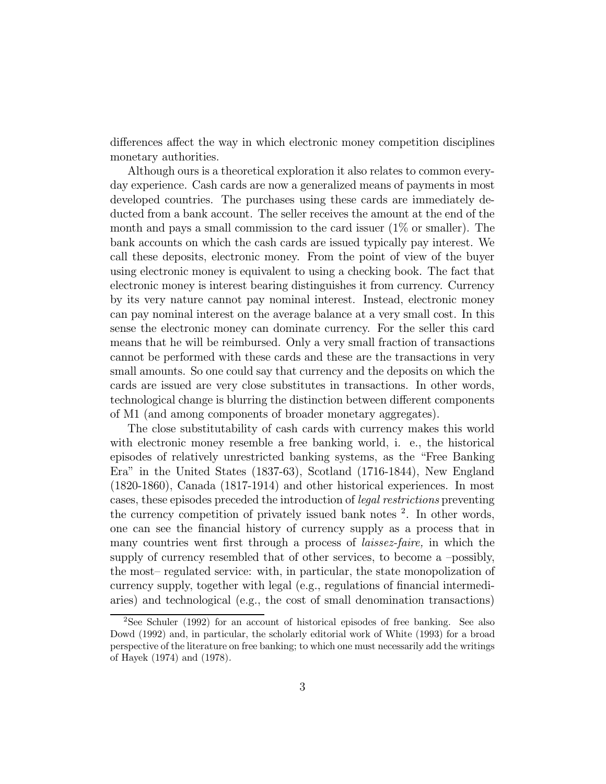differences affect the way in which electronic money competition disciplines monetary authorities.

Although ours is a theoretical exploration it also relates to common everyday experience. Cash cards are now a generalized means of payments in most developed countries. The purchases using these cards are immediately deducted from a bank account. The seller receives the amount at the end of the month and pays a small commission to the card issuer  $(1\% \text{ or smaller})$ . The bank accounts on which the cash cards are issued typically pay interest. We call these deposits, electronic money. From the point of view of the buyer using electronic money is equivalent to using a checking book. The fact that electronic money is interest bearing distinguishes it from currency. Currency by its very nature cannot pay nominal interest. Instead, electronic money can pay nominal interest on the average balance at a very small cost. In this sense the electronic money can dominate currency. For the seller this card means that he will be reimbursed. Only a very small fraction of transactions cannot be performed with these cards and these are the transactions in very small amounts. So one could say that currency and the deposits on which the cards are issued are very close substitutes in transactions. In other words, technological change is blurring the distinction between different components of M1 (and among components of broader monetary aggregates).

The close substitutability of cash cards with currency makes this world with electronic money resemble a free banking world, i. e., the historical episodes of relatively unrestricted banking systems, as the "Free Banking" Era" in the United States  $(1837-63)$ , Scotland  $(1716-1844)$ , New England  $(1820-1860)$ , Canada  $(1817-1914)$  and other historical experiences. In most cases, these episodes preceded the introduction of *legal restrictions* preventing the currency competition of privately issued bank notes <sup>2</sup>. In other words, one can see the financial history of currency supply as a process that in many countries went first through a process of *laissez-faire*, in which the supply of currency resembled that of other services, to become a -possibly, the most-regulated service: with, in particular, the state monopolization of currency supply, together with legal (e.g., regulations of financial intermediaries) and technological (e.g., the cost of small denomination transactions)

 ${}^{2}$ See Schuler (1992) for an account of historical episodes of free banking. See also Dowd (1992) and, in particular, the scholarly editorial work of White (1993) for a broad perspective of the literature on free banking; to which one must necessarily add the writings of Hayek (1974) and (1978).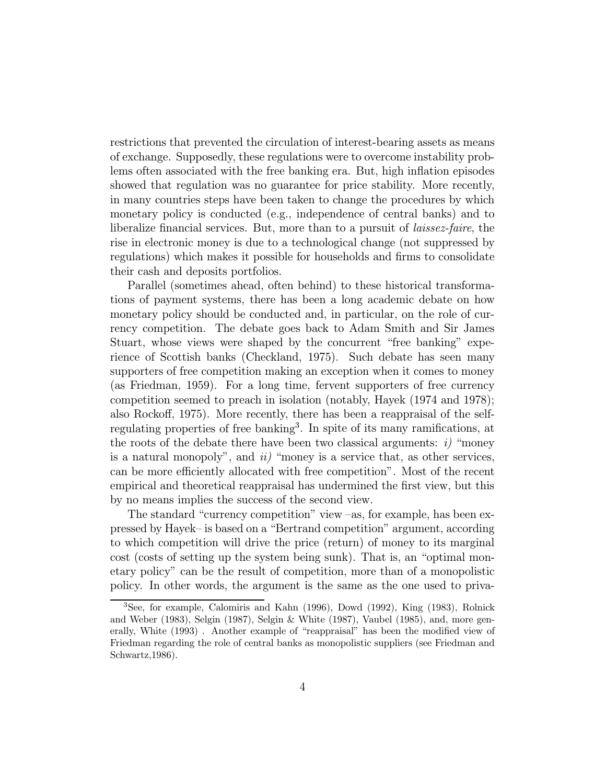restrictions that prevented the circulation of interest-bearing assets as means of exchange. Supposedly, these regulations were to overcome instability problems often associated with the free banking era. But, high inflation episodes showed that regulation was no guarantee for price stability. More recently, in many countries steps have been taken to change the procedures by which monetary policy is conducted (e.g., independence of central banks) and to liberalize financial services. But, more than to a pursuit of *laissez-faire*, the rise in electronic money is due to a technological change (not suppressed by regulations) which makes it possible for households and firms to consolidate their cash and deposits portfolios.

Parallel (sometimes ahead, often behind) to these historical transformations of payment systems, there has been a long academic debate on how monetary policy should be conducted and, in particular, on the role of currency competition. The debate goes back to Adam Smith and Sir James Stuart, whose views were shaped by the concurrent "free banking" experience of Scottish banks (Checkland, 1975). Such debate has seen many supporters of free competition making an exception when it comes to money (as Friedman, 1959). For a long time, fervent supporters of free currency competition seemed to preach in isolation (notably, Hayek (1974 and 1978); also Rockoff, 1975). More recently, there has been a reappraisal of the selfregulating properties of free banking<sup>3</sup>. In spite of its many ramifications, at the roots of the debate there have been two classical arguments:  $i$  "money" is a natural monopoly", and  $ii$  "money is a service that, as other services, can be more efficiently allocated with free competition". Most of the recent empirical and theoretical reappraisal has undermined the first view, but this by no means implies the success of the second view.

The standard "currency competition" view –as, for example, has been expressed by Hayek- is based on a "Bertrand competition" argument, according to which competition will drive the price (return) of money to its marginal cost (costs of setting up the system being sunk). That is, an "optimal monetary policy" can be the result of competition, more than of a monopolistic policy. In other words, the argument is the same as the one used to priva-

<sup>&</sup>lt;sup>3</sup>See, for example, Calomiris and Kahn (1996), Dowd (1992), King (1983), Rolnick and Weber (1983), Selgin (1987), Selgin & White (1987), Vaubel (1985), and, more generally, White (1993). Another example of "reappraisal" has been the modified view of Friedman regarding the role of central banks as monopolistic suppliers (see Friedman and Schwartz, 1986).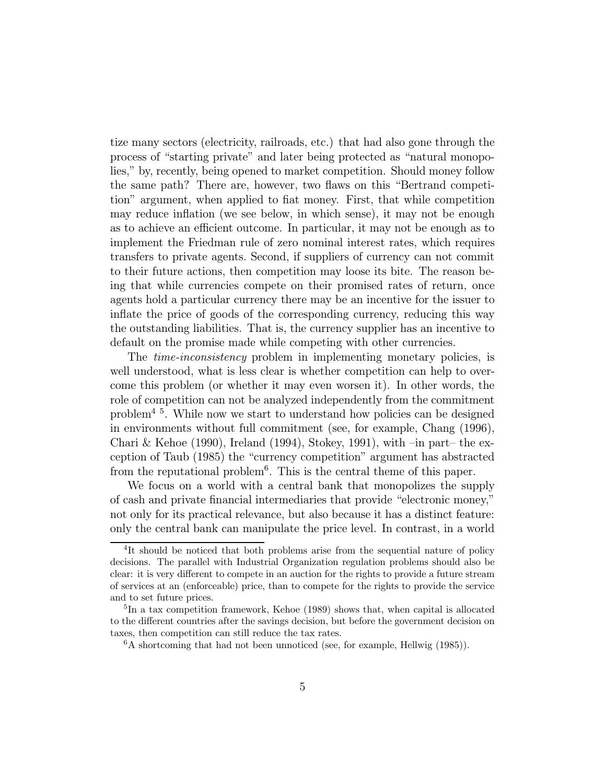tize many sectors (electricity, railroads, etc.) that had also gone through the process of "starting private" and later being protected as "natural monopolies," by, recently, being opened to market competition. Should money follow the same path? There are, however, two flaws on this "Bertrand competition" argument, when applied to fiat money. First, that while competition may reduce inflation (we see below, in which sense), it may not be enough as to achieve an efficient outcome. In particular, it may not be enough as to implement the Friedman rule of zero nominal interest rates, which requires transfers to private agents. Second, if suppliers of currency can not commit to their future actions, then competition may loose its bite. The reason being that while currencies compete on their promised rates of return, once agents hold a particular currency there may be an incentive for the issuer to inflate the price of goods of the corresponding currency, reducing this way the outstanding liabilities. That is, the currency supplier has an incentive to default on the promise made while competing with other currencies.

The *time-inconsistency* problem in implementing monetary policies, is well understood, what is less clear is whether competition can help to overcome this problem (or whether it may even worsen it). In other words, the role of competition can not be analyzed independently from the commitment problem<sup>45</sup>. While now we start to understand how policies can be designed in environments without full commitment (see, for example, Chang (1996), Chari & Kehoe (1990), Ireland (1994), Stokey, 1991), with  $-\text{in part}-\text{the ex-}$ ception of Taub (1985) the "currency competition" argument has abstracted from the reputational problem<sup>6</sup>. This is the central theme of this paper.

We focus on a world with a central bank that monopolizes the supply of cash and private financial intermediaries that provide "electronic money," not only for its practical relevance, but also because it has a distinct feature: only the central bank can manipulate the price level. In contrast, in a world

<sup>&</sup>lt;sup>4</sup>It should be noticed that both problems arise from the sequential nature of policy decisions. The parallel with Industrial Organization regulation problems should also be clear: it is very different to compete in an auction for the rights to provide a future stream of services at an (enforceable) price, than to compete for the rights to provide the service and to set future prices.

 ${}^{5}$ In a tax competition framework, Kehoe (1989) shows that, when capital is allocated to the different countries after the savings decision, but before the government decision on taxes, then competition can still reduce the tax rates.

 ${}^6A$  shortcoming that had not been unnoticed (see, for example, Hellwig (1985)).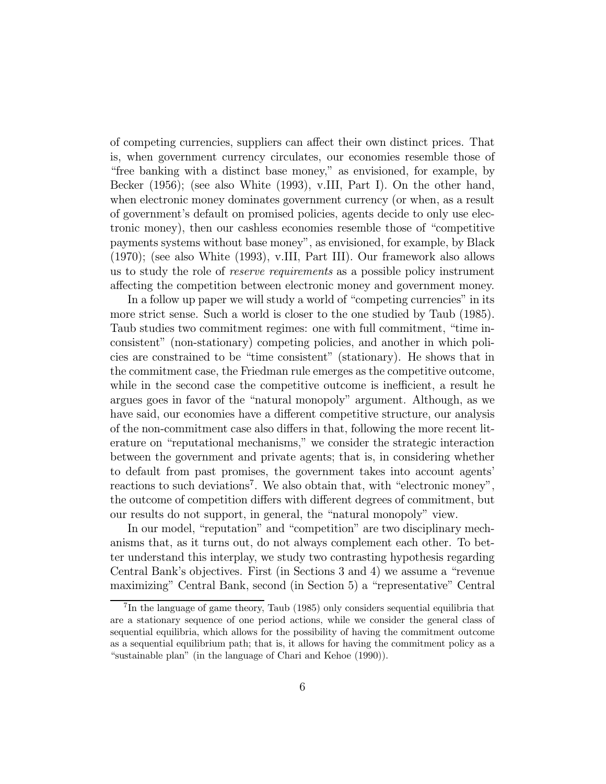of competing currencies, suppliers can affect their own distinct prices. That is, when government currency circulates, our economies resemble those of "free banking with a distinct base money," as envisioned, for example, by Becker  $(1956)$ ; (see also White  $(1993)$ , v.III, Part I). On the other hand, when electronic money dominates government currency (or when, as a result of government's default on promised policies, agents decide to only use electronic money), then our cashless economies resemble those of "competitive" payments systems without base money", as envisioned, for example, by Black  $(1970)$ ; (see also White  $(1993)$ , v.III, Part III). Our framework also allows us to study the role of *reserve requirements* as a possible policy instrument affecting the competition between electronic money and government money.

In a follow up paper we will study a world of "competing currencies" in its more strict sense. Such a world is closer to the one studied by Taub (1985). Taub studies two commitment regimes: one with full commitment, "time inconsistent" (non-stationary) competing policies, and another in which policies are constrained to be "time consistent" (stationary). He shows that in the commitment case, the Friedman rule emerges as the competitive outcome, while in the second case the competitive outcome is inefficient, a result he argues goes in favor of the "natural monopoly" argument. Although, as we have said, our economies have a different competitive structure, our analysis of the non-commitment case also differs in that, following the more recent literature on "reputational mechanisms," we consider the strategic interaction between the government and private agents; that is, in considering whether to default from past promises, the government takes into account agents' reactions to such deviations<sup>7</sup>. We also obtain that, with "electronic money", the outcome of competition differs with different degrees of commitment, but our results do not support, in general, the "natural monopoly" view.

In our model, "reputation" and "competition" are two disciplinary mechanisms that, as it turns out, do not always complement each other. To better understand this interplay, we study two contrasting hypothesis regarding Central Bank's objectives. First (in Sections 3 and 4) we assume a "revenue maximizing" Central Bank, second (in Section 5) a "representative" Central

<sup>&</sup>lt;sup>7</sup>In the language of game theory, Taub (1985) only considers sequential equilibria that are a stationary sequence of one period actions, while we consider the general class of sequential equilibria, which allows for the possibility of having the commitment outcome as a sequential equilibrium path; that is, it allows for having the commitment policy as a "sustainable plan" (in the language of Chari and Kehoe (1990)).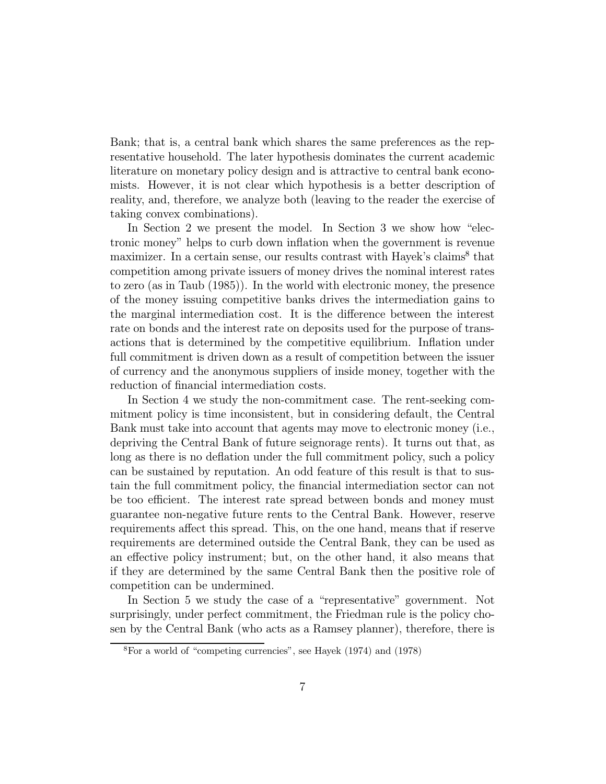Bank; that is, a central bank which shares the same preferences as the representative household. The later hypothesis dominates the current academic literature on monetary policy design and is attractive to central bank economists. However, it is not clear which hypothesis is a better description of reality, and, therefore, we analyze both (leaving to the reader the exercise of taking convex combinations).

In Section 2 we present the model. In Section 3 we show how "electronic money" helps to curb down inflation when the government is revenue maximizer. In a certain sense, our results contrast with Hayek's claims<sup>8</sup> that competition among private issuers of money drives the nominal interest rates to zero (as in Taub (1985)). In the world with electronic money, the presence of the money issuing competitive banks drives the intermediation gains to the marginal intermediation cost. It is the difference between the interest rate on bonds and the interest rate on deposits used for the purpose of transactions that is determined by the competitive equilibrium. Inflation under full commitment is driven down as a result of competition between the issuer of currency and the anonymous suppliers of inside money, together with the reduction of financial intermediation costs.

In Section 4 we study the non-commitment case. The rent-seeking commitment policy is time inconsistent, but in considering default, the Central Bank must take into account that agents may move to electronic money (i.e., depriving the Central Bank of future seignorage rents). It turns out that, as long as there is no deflation under the full commitment policy, such a policy can be sustained by reputation. An odd feature of this result is that to sustain the full commitment policy, the financial intermediation sector can not be too efficient. The interest rate spread between bonds and money must guarantee non-negative future rents to the Central Bank. However, reserve requirements affect this spread. This, on the one hand, means that if reserve requirements are determined outside the Central Bank, they can be used as an effective policy instrument; but, on the other hand, it also means that if they are determined by the same Central Bank then the positive role of competition can be undermined.

In Section 5 we study the case of a "representative" government. Not surprisingly, under perfect commitment, the Friedman rule is the policy chosen by the Central Bank (who acts as a Ramsey planner), therefore, there is

 ${}^{8}$ For a world of "competing currencies", see Hayek (1974) and (1978)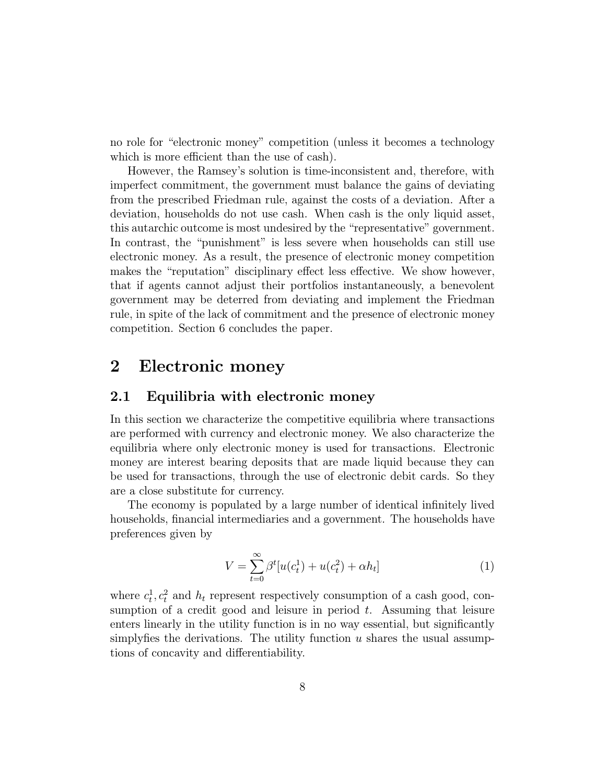no role for "electronic money" competition (unless it becomes a technology which is more efficient than the use of cash).

However, the Ramsey's solution is time-inconsistent and, therefore, with imperfect commitment, the government must balance the gains of deviating from the prescribed Friedman rule, against the costs of a deviation. After a deviation, households do not use cash. When cash is the only liquid asset, this autarchic outcome is most undesired by the "representative" government. In contrast, the "punishment" is less severe when households can still use electronic money. As a result, the presence of electronic money competition makes the "reputation" disciplinary effect less effective. We show however, that if agents cannot adjust their portfolios instantaneously, a benevolent government may be deterred from deviating and implement the Friedman rule, in spite of the lack of commitment and the presence of electronic money competition. Section 6 concludes the paper.

#### $\bf{2}$ Electronic money

#### $2.1$ Equilibria with electronic money

In this section we characterize the competitive equilibria where transactions are performed with currency and electronic money. We also characterize the equilibria where only electronic money is used for transactions. Electronic money are interest bearing deposits that are made liquid because they can be used for transactions, through the use of electronic debit cards. So they are a close substitute for currency.

The economy is populated by a large number of identical infinitely lived households, financial intermediaries and a government. The households have preferences given by

$$
V = \sum_{t=0}^{\infty} \beta^t [u(c_t^1) + u(c_t^2) + \alpha h_t]
$$
 (1)

where  $c_t^1, c_t^2$  and  $h_t$  represent respectively consumption of a cash good, consumption of a credit good and leisure in period  $t$ . Assuming that leisure enters linearly in the utility function is in no way essential, but significantly simply fies the derivations. The utility function  $u$  shares the usual assumptions of concavity and differentiability.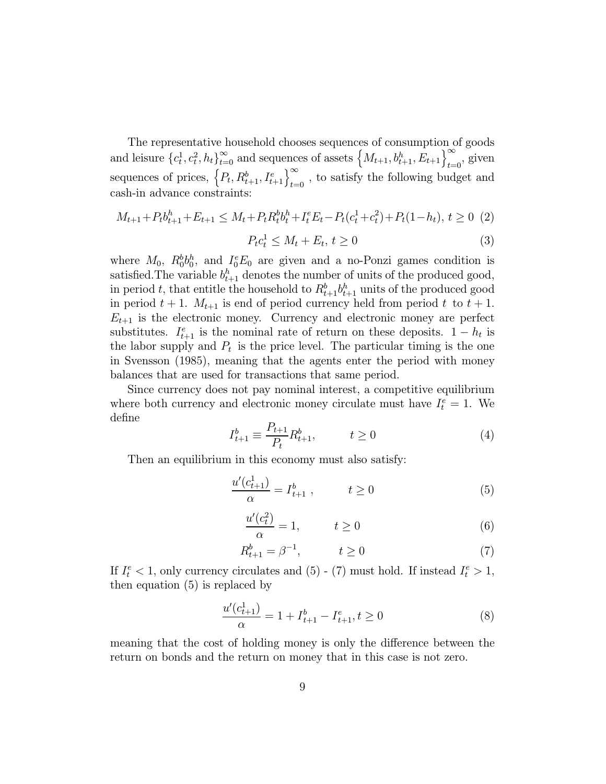The representative household chooses sequences of consumption of goods and leisure  ${c_t^1, c_t^2, h_t}_{t=0}^{\infty}$  and sequences of assets  ${M_{t+1}, b_{t+1}^h, E_{t+1}}_{t=0}^{\infty}$ , given sequences of prices,  $\left\{P_t, R_{t+1}^b, I_{t+1}^e\right\}_{t=0}^{\infty}$ , to satisfy the following budget and cash-in advance constraints:

$$
M_{t+1} + P_t b_{t+1}^h + E_{t+1} \le M_t + P_t R_t^b b_t^h + I_t^e E_t - P_t (c_t^1 + c_t^2) + P_t (1 - h_t), t \ge 0
$$
 (2)

$$
P_t c_t^1 \le M_t + E_t, t \ge 0 \tag{3}
$$

where  $M_0$ ,  $R_0^b b_0^h$ , and  $I_0^e E_0$  are given and a no-Ponzi games condition is satisfied. The variable  $b_{t+1}^h$  denotes the number of units of the produced good, in period t, that entitle the household to  $R_{t+1}^b b_{t+1}^h$  units of the produced good in period  $t + 1$ .  $M_{t+1}$  is end of period currency held from period t to  $t + 1$ .  $E_{t+1}$  is the electronic money. Currency and electronic money are perfect substitutes.  $I_{t+1}^e$  is the nominal rate of return on these deposits.  $1-h_t$  is the labor supply and  $P_t$  is the price level. The particular timing is the one in Svensson (1985), meaning that the agents enter the period with money balances that are used for transactions that same period.

Since currency does not pay nominal interest, a competitive equilibrium where both currency and electronic money circulate must have  $I_t^e = 1$ . We define

$$
I_{t+1}^b \equiv \frac{P_{t+1}}{P_t} R_{t+1}^b, \qquad t \ge 0
$$
 (4)

Then an equilibrium in this economy must also satisfy:

$$
\frac{u'(c_{t+1}^1)}{\alpha} = I_{t+1}^b, \qquad t \ge 0 \tag{5}
$$

$$
\frac{u'(c_t^2)}{\alpha} = 1, \qquad t \ge 0 \tag{6}
$$

$$
R_{t+1}^b = \beta^{-1}, \qquad t \ge 0 \tag{7}
$$

If  $I_t^e < 1$ , only currency circulates and (5) - (7) must hold. If instead  $I_t^e > 1$ , then equation  $(5)$  is replaced by

$$
\frac{u'(c_{t+1}^1)}{\alpha} = 1 + I_{t+1}^b - I_{t+1}^e, t \ge 0
$$
\n(8)

meaning that the cost of holding money is only the difference between the return on bonds and the return on money that in this case is not zero.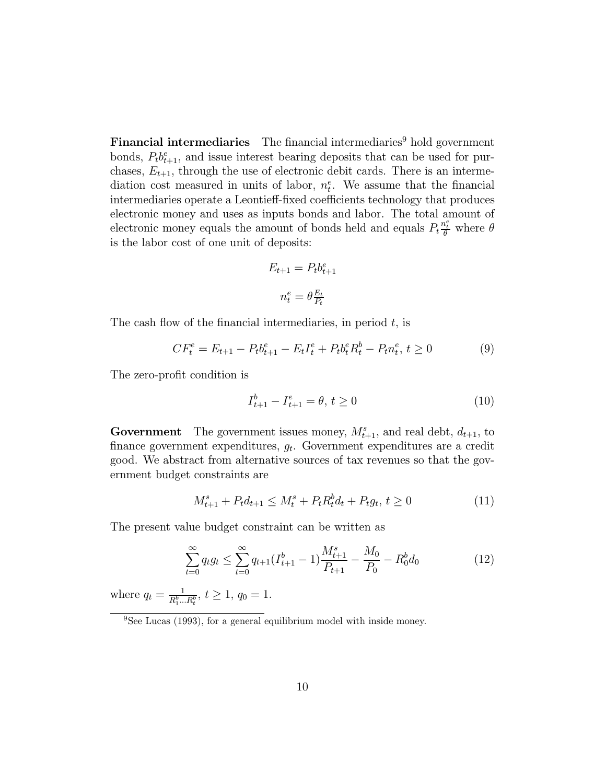**Financial intermediaries** The financial intermediaries<sup>9</sup> hold government bonds,  $P_t b_{t+1}^e$ , and issue interest bearing deposits that can be used for purchases,  $E_{t+1}$ , through the use of electronic debit cards. There is an intermediation cost measured in units of labor,  $n_t^e$ . We assume that the financial intermediaries operate a Leontieff-fixed coefficients technology that produces electronic money and uses as inputs bonds and labor. The total amount of electronic money equals the amount of bonds held and equals  $P_t \frac{n_t^e}{\theta}$  where  $\theta$ is the labor cost of one unit of deposits:

$$
E_{t+1} = P_t b_{t+1}^e
$$

$$
n_t^e = \theta \frac{E_t}{P_t}
$$

The cash flow of the financial intermediaries, in period  $t$ , is

$$
CF_t^e = E_{t+1} - P_t b_{t+1}^e - E_t I_t^e + P_t b_t^e R_t^b - P_t n_t^e, t \ge 0
$$
\n<sup>(9)</sup>

The zero-profit condition is

$$
I_{t+1}^b - I_{t+1}^e = \theta, \, t \ge 0 \tag{10}
$$

**Government** The government issues money,  $M_{t+1}^s$ , and real debt,  $d_{t+1}$ , to finance government expenditures,  $g_t$ . Government expenditures are a credit good. We abstract from alternative sources of tax revenues so that the government budget constraints are

$$
M_{t+1}^s + P_t d_{t+1} \le M_t^s + P_t R_t^b d_t + P_t g_t, t \ge 0
$$
\n<sup>(11)</sup>

The present value budget constraint can be written as

$$
\sum_{t=0}^{\infty} q_t g_t \le \sum_{t=0}^{\infty} q_{t+1} (I_{t+1}^b - 1) \frac{M_{t+1}^s}{P_{t+1}} - \frac{M_0}{P_0} - R_0^b d_0 \tag{12}
$$

where  $q_t = \frac{1}{R_1^b \dots R_t^b}$ ,  $t \ge 1$ ,  $q_0 = 1$ .

 $\frac{9}{9}$ See Lucas (1993), for a general equilibrium model with inside money.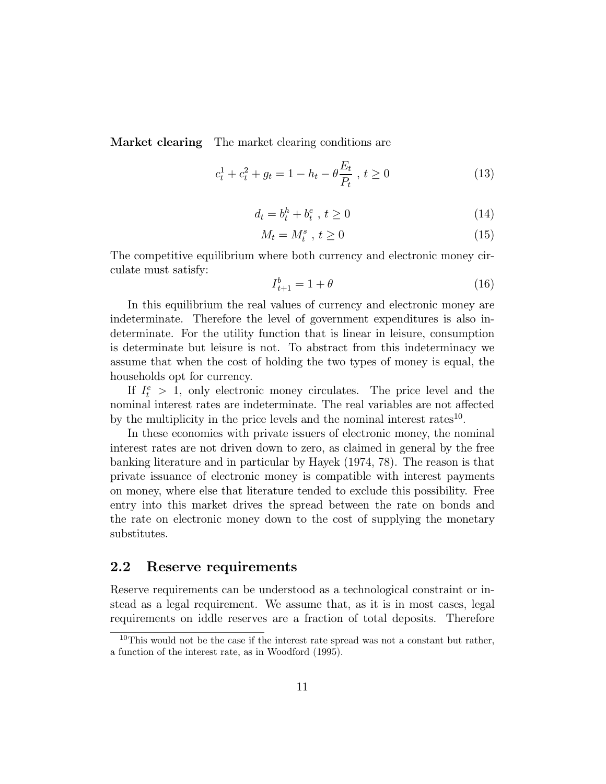**Market clearing** The market clearing conditions are

$$
c_t^1 + c_t^2 + g_t = 1 - h_t - \theta \frac{E_t}{P_t}, \ t \ge 0 \tag{13}
$$

$$
d_t = b_t^h + b_t^e \t, \ t \ge 0 \t\t(14)
$$

$$
M_t = M_t^s \t, t \ge 0 \t\t(15)
$$

The competitive equilibrium where both currency and electronic money circulate must satisfy:

$$
I_{t+1}^b = 1 + \theta \tag{16}
$$

In this equilibrium the real values of currency and electronic money are indeterminate. Therefore the level of government expenditures is also indeterminate. For the utility function that is linear in leisure, consumption is determinate but leisure is not. To abstract from this indeterminacy we assume that when the cost of holding the two types of money is equal, the households opt for currency.

If  $I_t^e > 1$ , only electronic money circulates. The price level and the nominal interest rates are indeterminate. The real variables are not affected by the multiplicity in the price levels and the nominal interest rates  $10$ .

In these economies with private issuers of electronic money, the nominal interest rates are not driven down to zero, as claimed in general by the free banking literature and in particular by Hayek (1974, 78). The reason is that private issuance of electronic money is compatible with interest payments on money, where else that literature tended to exclude this possibility. Free entry into this market drives the spread between the rate on bonds and the rate on electronic money down to the cost of supplying the monetary substitutes.

#### $2.2$ Reserve requirements

Reserve requirements can be understood as a technological constraint or instead as a legal requirement. We assume that, as it is in most cases, legal requirements on iddle reserves are a fraction of total deposits. Therefore

<sup>&</sup>lt;sup>10</sup>This would not be the case if the interest rate spread was not a constant but rather, a function of the interest rate, as in Woodford (1995).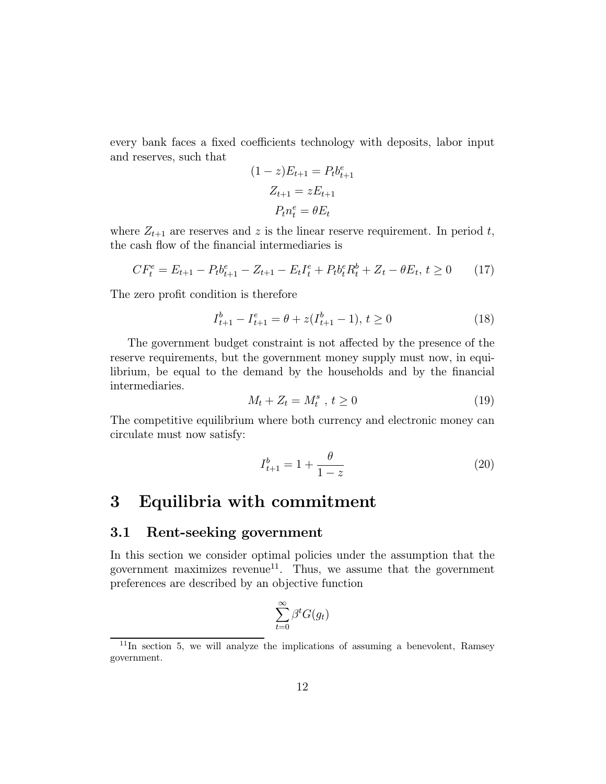every bank faces a fixed coefficients technology with deposits, labor input and reserves, such that

$$
(1 - z)E_{t+1} = P_t b_{t+1}^e
$$

$$
Z_{t+1} = zE_{t+1}
$$

$$
P_t n_t^e = \theta E_t
$$

where  $Z_{t+1}$  are reserves and z is the linear reserve requirement. In period t, the cash flow of the financial intermediaries is

$$
CF_t^e = E_{t+1} - P_t b_{t+1}^e - Z_{t+1} - E_t I_t^e + P_t b_t^e R_t^b + Z_t - \theta E_t, \ t \ge 0 \tag{17}
$$

The zero profit condition is therefore

$$
I_{t+1}^b - I_{t+1}^e = \theta + z(I_{t+1}^b - 1), t \ge 0
$$
\n(18)

The government budget constraint is not affected by the presence of the reserve requirements, but the government money supply must now, in equilibrium, be equal to the demand by the households and by the financial intermediaries.

$$
M_t + Z_t = M_t^s \t, t \ge 0 \t\t(19)
$$

The competitive equilibrium where both currency and electronic money can circulate must now satisfy:

$$
I_{t+1}^{b} = 1 + \frac{\theta}{1 - z} \tag{20}
$$

### 3 Equilibria with commitment

#### Rent-seeking government 3.1

In this section we consider optimal policies under the assumption that the government maximizes revenue<sup>11</sup>. Thus, we assume that the government preferences are described by an objective function

$$
\sum_{t=0}^{\infty} \beta^t G(g_t)
$$

 $11$ In section 5, we will analyze the implications of assuming a benevolent, Ramsey government.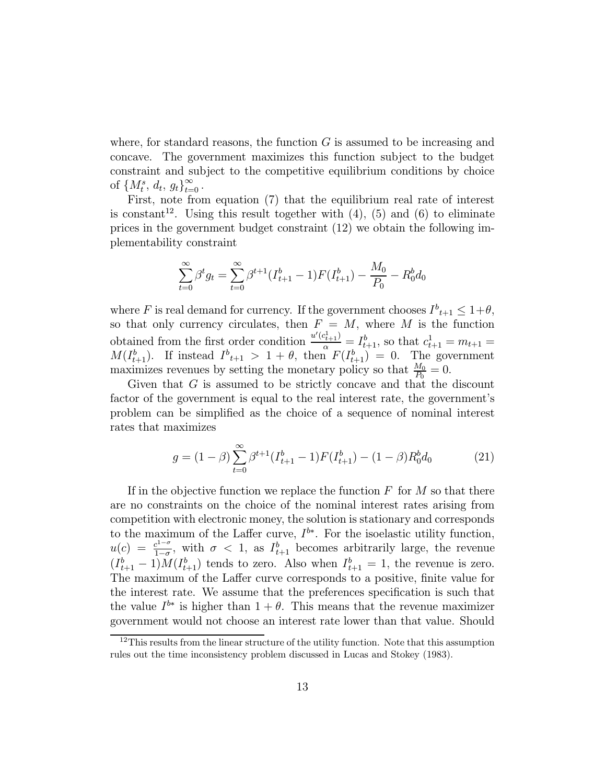where, for standard reasons, the function  $G$  is assumed to be increasing and concave. The government maximizes this function subject to the budget constraint and subject to the competitive equilibrium conditions by choice of  $\{M^s_t,\,d_t,\,g_t\}_{t=0}^\infty$  .

First, note from equation (7) that the equilibrium real rate of interest is constant<sup>12</sup>. Using this result together with  $(4)$ ,  $(5)$  and  $(6)$  to eliminate prices in the government budget constraint  $(12)$  we obtain the following implementability constraint

$$
\sum_{t=0}^{\infty} \beta^t g_t = \sum_{t=0}^{\infty} \beta^{t+1} (I_{t+1}^b - 1) F(I_{t+1}^b) - \frac{M_0}{P_0} - R_0^b d_0
$$

where F is real demand for currency. If the government chooses  $I_{t+1}^b \leq 1+\theta$ , so that only currency circulates, then  $F = M$ , where M is the function obtained from the first order condition  $\frac{u'(c_{t+1}^1)}{\alpha} = I_{t+1}^b$ , so that  $c_{t+1}^1 = m_{t+1} = M(I_{t+1}^b)$ . If instead  $I_{t+1}^b > 1 + \theta$ , then  $F(I_{t+1}^b) = 0$ . The government maximizes revenues by setting the monetary policy so that  $\frac{M_0}{P_0} = 0$ .

Given that  $G$  is assumed to be strictly concave and that the discount factor of the government is equal to the real interest rate, the government's problem can be simplified as the choice of a sequence of nominal interest rates that maximizes

$$
g = (1 - \beta) \sum_{t=0}^{\infty} \beta^{t+1} (I_{t+1}^b - 1) F(I_{t+1}^b) - (1 - \beta) R_0^b d_0 \tag{21}
$$

If in the objective function we replace the function  $F$  for  $M$  so that there are no constraints on the choice of the nominal interest rates arising from competition with electronic money, the solution is stationary and corresponds to the maximum of the Laffer curve,  $I^{b*}$ . For the isoelastic utility function,  $u(c) = \frac{c^{1-\sigma}}{1-\sigma}$ , with  $\sigma < 1$ , as  $I_{t+1}^b$  becomes arbitrarily large, the revenue  $(I_{t+1}^b - 1)M(I_{t+1}^b)$  tends to zero. Also when  $I_{t+1}^b = 1$ , the revenue is zero. The maximum of the Laffer curve corresponds to a positive, finite value for the interest rate. We assume that the preferences specification is such that the value  $I^{b*}$  is higher than  $1+\theta$ . This means that the revenue maximizer government would not choose an interest rate lower than that value. Should

 $12$ This results from the linear structure of the utility function. Note that this assumption rules out the time inconsistency problem discussed in Lucas and Stokey (1983).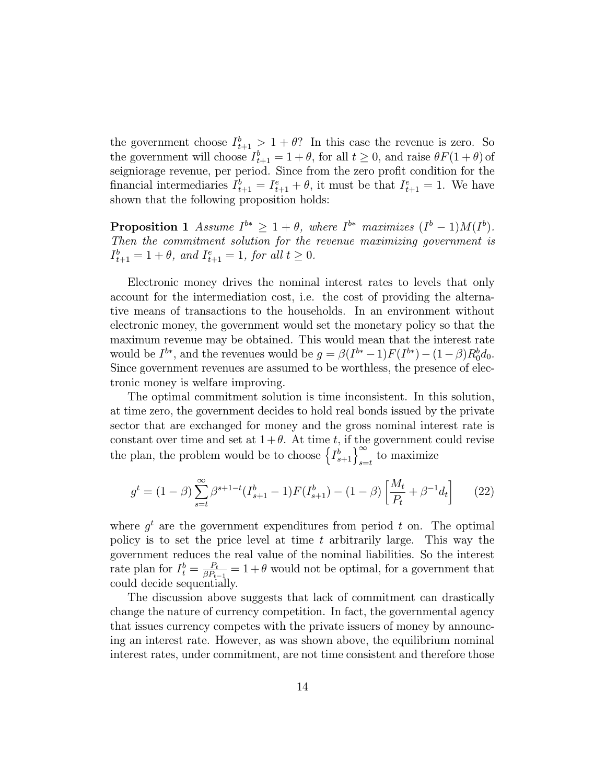the government choose  $I_{t+1}^b > 1 + \theta$ ? In this case the revenue is zero. So the government will choose  $I_{t+1}^b = 1 + \theta$ , for all  $t \ge 0$ , and raise  $\theta F(1 + \theta)$  of seigniorage revenue, per period. Since from the zero profit condition for the financial intermediaries  $I_{t+1}^b = I_{t+1}^e + \theta$ , it must be that  $I_{t+1}^e = 1$ . We have shown that the following proposition holds:

**Proposition 1** Assume  $I^{b*} \geq 1 + \theta$ , where  $I^{b*}$  maximizes  $(I^{b} - 1)M(I^{b})$ . Then the commitment solution for the revenue maximizing government is  $I_{t+1}^b = 1 + \theta$ , and  $I_{t+1}^e = 1$ , for all  $t \ge 0$ .

Electronic money drives the nominal interest rates to levels that only account for the intermediation cost, i.e. the cost of providing the alternative means of transactions to the households. In an environment without electronic money, the government would set the monetary policy so that the maximum revenue may be obtained. This would mean that the interest rate would be  $I^{b*}$ , and the revenues would be  $g = \beta(I^{b*}-1)F(I^{b*}) - (1-\beta)R_0^b d_0$ . Since government revenues are assumed to be worthless, the presence of electronic money is welfare improving.

The optimal commitment solution is time inconsistent. In this solution, at time zero, the government decides to hold real bonds issued by the private sector that are exchanged for money and the gross nominal interest rate is constant over time and set at  $1+\theta$ . At time t, if the government could revise the plan, the problem would be to choose  $\left\{I_{s+1}^b\right\}_{s=t}^\infty$  to maximize

$$
g^{t} = (1 - \beta) \sum_{s=t}^{\infty} \beta^{s+1-t} (I_{s+1}^{b} - 1) F(I_{s+1}^{b}) - (1 - \beta) \left[ \frac{M_t}{P_t} + \beta^{-1} d_t \right]
$$
 (22)

where  $g^t$  are the government expenditures from period t on. The optimal policy is to set the price level at time t arbitrarily large. This way the government reduces the real value of the nominal liabilities. So the interest rate plan for  $I_t^b = \frac{P_t}{\beta P_{t-1}} = 1 + \theta$  would not be optimal, for a government that could decide sequentially.

The discussion above suggests that lack of commitment can drastically change the nature of currency competition. In fact, the governmental agency that issues currency competes with the private issuers of money by announcing an interest rate. However, as was shown above, the equilibrium nominal interest rates, under commitment, are not time consistent and therefore those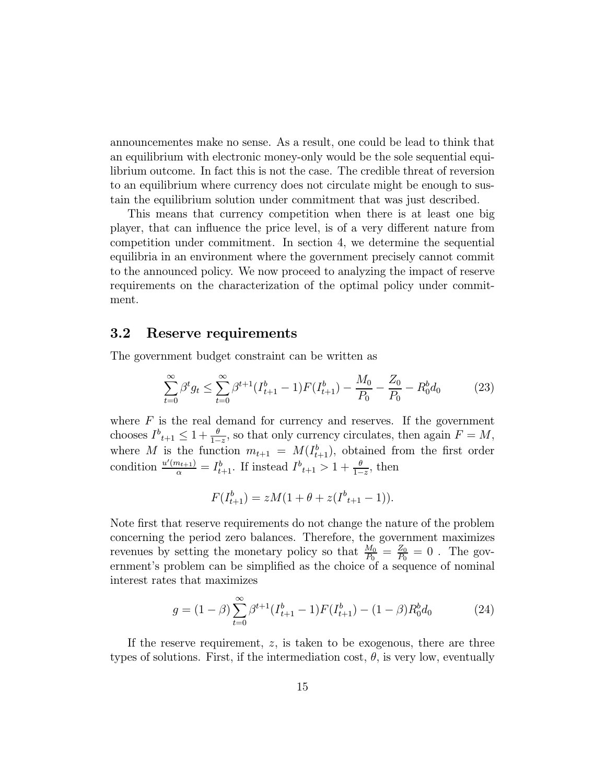announcementes make no sense. As a result, one could be lead to think that an equilibrium with electronic money-only would be the sole sequential equilibrium outcome. In fact this is not the case. The credible threat of reversion to an equilibrium where currency does not circulate might be enough to sustain the equilibrium solution under commitment that was just described.

This means that currency competition when there is at least one big player, that can influence the price level, is of a very different nature from competition under commitment. In section 4, we determine the sequential equilibria in an environment where the government precisely cannot commit to the announced policy. We now proceed to analyzing the impact of reserve requirements on the characterization of the optimal policy under commitment.

#### $3.2$ Reserve requirements

The government budget constraint can be written as

$$
\sum_{t=0}^{\infty} \beta^t g_t \le \sum_{t=0}^{\infty} \beta^{t+1} (I_{t+1}^b - 1) F(I_{t+1}^b) - \frac{M_0}{P_0} - \frac{Z_0}{P_0} - R_0^b d_0 \tag{23}
$$

where  $F$  is the real demand for currency and reserves. If the government chooses  $I^b{}_{t+1} \leq 1 + \frac{\theta}{1-z}$ , so that only currency circulates, then again  $F = M$ , where M is the function  $m_{t+1} = M(I_{t+1}^b)$ , obtained from the first order condition  $\frac{u'(m_{t+1})}{\alpha} = I_{t+1}^b$ . If instead  $I_{t+1}^b > 1 + \frac{\theta}{1-z}$ , then

$$
F(I_{t+1}^b) = zM(1 + \theta + z(I_{t+1}^b - 1)).
$$

Note first that reserve requirements do not change the nature of the problem concerning the period zero balances. Therefore, the government maximizes revenues by setting the monetary policy so that  $\frac{M_0}{P_0} = \frac{Z_0}{P_0} = 0$ . The government's problem can be simplified as the choice of a sequence of nominal interest rates that maximizes

$$
g = (1 - \beta) \sum_{t=0}^{\infty} \beta^{t+1} (I_{t+1}^b - 1) F(I_{t+1}^b) - (1 - \beta) R_0^b d_0 \tag{24}
$$

If the reserve requirement,  $z$ , is taken to be exogenous, there are three types of solutions. First, if the intermediation cost,  $\theta$ , is very low, eventually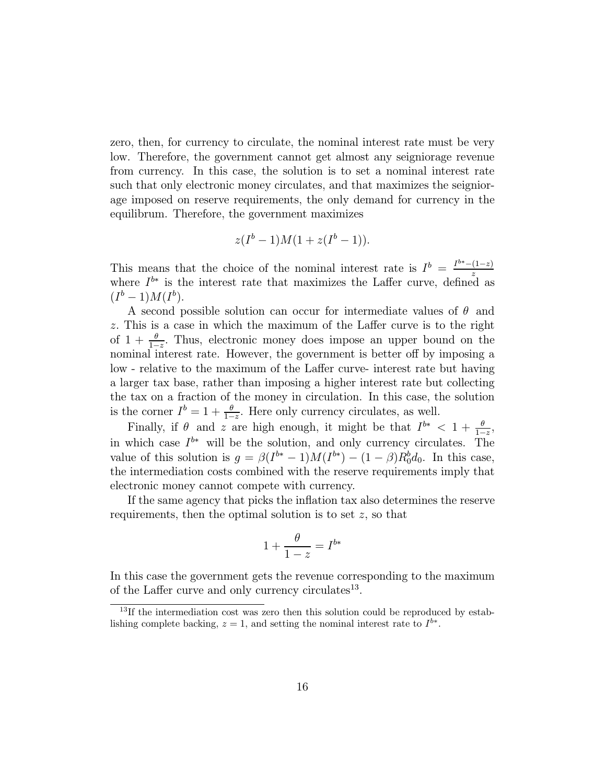zero, then, for currency to circulate, the nominal interest rate must be very low. Therefore, the government cannot get almost any seigniorage revenue from currency. In this case, the solution is to set a nominal interest rate such that only electronic money circulates, and that maximizes the seigniorage imposed on reserve requirements, the only demand for currency in the equilibrum. Therefore, the government maximizes

$$
z(I^b-1)M(1+z(I^b-1)).
$$

This means that the choice of the nominal interest rate is  $I^b = \frac{I^{b*} - (1-z)}{z}$ <br>where  $I^{b*}$  is the interest rate that maximizes the Laffer curve, defined as  $(I^{b}-1)M(I^{b}).$ 

A second possible solution can occur for intermediate values of  $\theta$  and z. This is a case in which the maximum of the Laffer curve is to the right of  $1 + \frac{\theta}{1-z}$ . Thus, electronic money does impose an upper bound on the nominal interest rate. However, the government is better off by imposing a low - relative to the maximum of the Laffer curve- interest rate but having a larger tax base, rather than imposing a higher interest rate but collecting the tax on a fraction of the money in circulation. In this case, the solution is the corner  $I^b = 1 + \frac{\theta}{1-z}$ . Here only currency circulates, as well.

Finally, if  $\theta$  and  $z$  are high enough, it might be that  $I^{b*} < 1 + \frac{\theta}{1-z}$ . in which case  $I^{b*}$  will be the solution, and only currency circulates. The value of this solution is  $g = \beta(I^{b*} - 1)M(I^{b*}) - (1 - \beta)R_0^b d_0$ . In this case, the intermediation costs combined with the reserve requirements imply that electronic money cannot compete with currency.

If the same agency that picks the inflation tax also determines the reserve requirements, then the optimal solution is to set  $z$ , so that

$$
1 + \frac{\theta}{1 - z} = I^{b*}
$$

In this case the government gets the revenue corresponding to the maximum of the Laffer curve and only currency circulates<sup>13</sup>.

 $13$ If the intermediation cost was zero then this solution could be reproduced by establishing complete backing,  $z = 1$ , and setting the nominal interest rate to  $I^{b*}$ .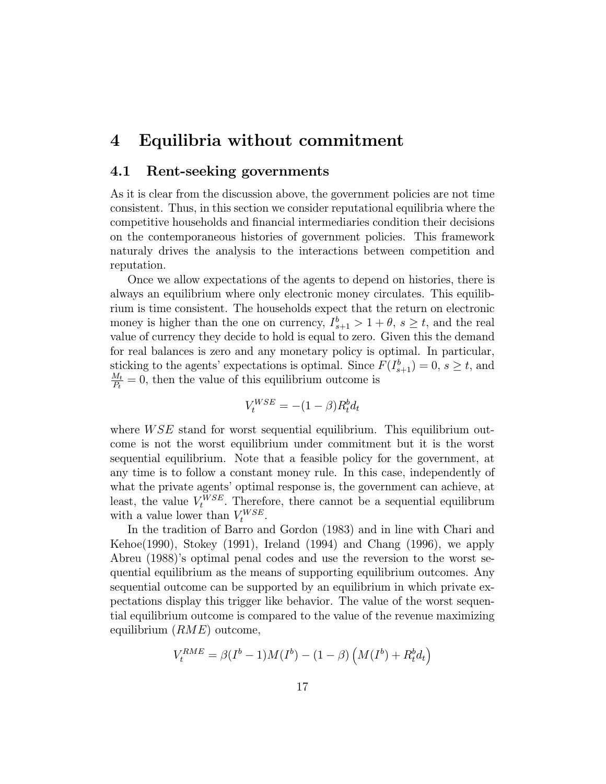#### Equilibria without commitment  $\boldsymbol{4}$

#### $4.1$ Rent-seeking governments

As it is clear from the discussion above, the government policies are not time consistent. Thus, in this section we consider reputational equilibria where the competitive households and financial intermediaries condition their decisions on the contemporaneous histories of government policies. This framework naturaly drives the analysis to the interactions between competition and reputation.

Once we allow expectations of the agents to depend on histories, there is always an equilibrium where only electronic money circulates. This equilibrium is time consistent. The households expect that the return on electronic money is higher than the one on currency,  $I_{s+1}^b > 1 + \theta$ ,  $s \ge t$ , and the real value of currency they decide to hold is equal to zero. Given this the demand for real balances is zero and any monetary policy is optimal. In particular, sticking to the agents' expectations is optimal. Since  $F(I_{s+1}^b) = 0, s \ge t$ , and  $\frac{M_t}{P_t} = 0$ , then the value of this equilibrium outcome is

$$
V_t^{WSE} = -(1 - \beta)R_t^b d_t
$$

where  $WSE$  stand for worst sequential equilibrium. This equilibrium outcome is not the worst equilibrium under commitment but it is the worst sequential equilibrium. Note that a feasible policy for the government, at any time is to follow a constant money rule. In this case, independently of what the private agents' optimal response is, the government can achieve, at least, the value  $V_t^{WSE}$ . Therefore, there cannot be a sequential equilibrum with a value lower than  $V_t^{WSE}$ .

In the tradition of Barro and Gordon (1983) and in line with Chari and Kehoe $(1990)$ , Stokey  $(1991)$ , Ireland  $(1994)$  and Chang  $(1996)$ , we apply Abreu (1988)'s optimal penal codes and use the reversion to the worst sequential equilibrium as the means of supporting equilibrium outcomes. Any sequential outcome can be supported by an equilibrium in which private expectations display this trigger like behavior. The value of the worst sequential equilibrium outcome is compared to the value of the revenue maximizing equilibrium  $(RME)$  outcome,

$$
V_t^{RME} = \beta(I^b - 1)M(I^b) - (1 - \beta)\left(M(I^b) + R_t^b d_t\right)
$$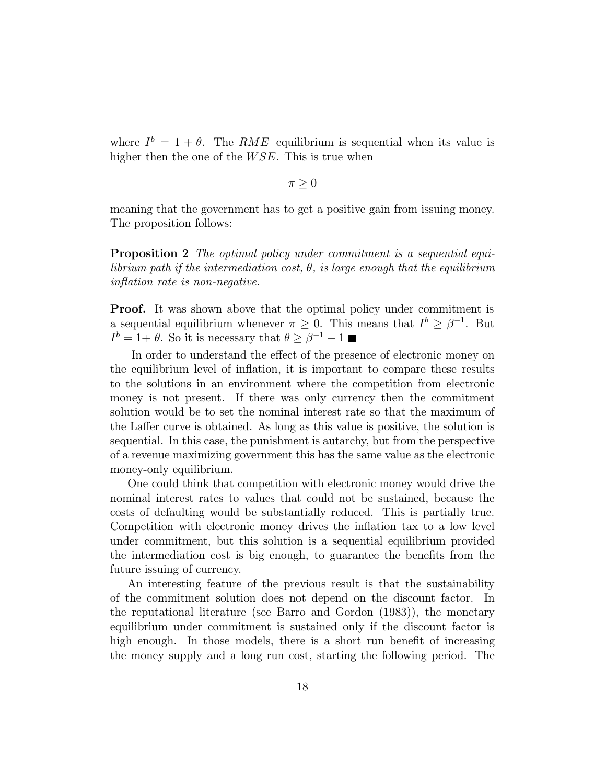where  $I^b = 1 + \theta$ . The RME equilibrium is sequential when its value is higher then the one of the  $WSE$ . This is true when

$$
\pi\geq 0
$$

meaning that the government has to get a positive gain from issuing money. The proposition follows:

**Proposition 2** The optimal policy under commitment is a sequential equilibrium path if the intermediation cost,  $\theta$ , is large enough that the equilibrium inflation rate is non-negative.

**Proof.** It was shown above that the optimal policy under commitment is a sequential equilibrium whenever  $\pi \geq 0$ . This means that  $I^b \geq \beta^{-1}$ . But  $I^b = 1 + \theta$ . So it is necessary that  $\theta \geq \beta^{-1} - 1$ 

In order to understand the effect of the presence of electronic money on the equilibrium level of inflation, it is important to compare these results to the solutions in an environment where the competition from electronic money is not present. If there was only currency then the commitment solution would be to set the nominal interest rate so that the maximum of the Laffer curve is obtained. As long as this value is positive, the solution is sequential. In this case, the punishment is autarchy, but from the perspective of a revenue maximizing government this has the same value as the electronic money-only equilibrium.

One could think that competition with electronic money would drive the nominal interest rates to values that could not be sustained, because the costs of defaulting would be substantially reduced. This is partially true. Competition with electronic money drives the inflation tax to a low level under commitment, but this solution is a sequential equilibrium provided the intermediation cost is big enough, to guarantee the benefits from the future issuing of currency.

An interesting feature of the previous result is that the sustainability of the commitment solution does not depend on the discount factor. In the reputational literature (see Barro and Gordon (1983)), the monetary equilibrium under commitment is sustained only if the discount factor is high enough. In those models, there is a short run benefit of increasing the money supply and a long run cost, starting the following period. The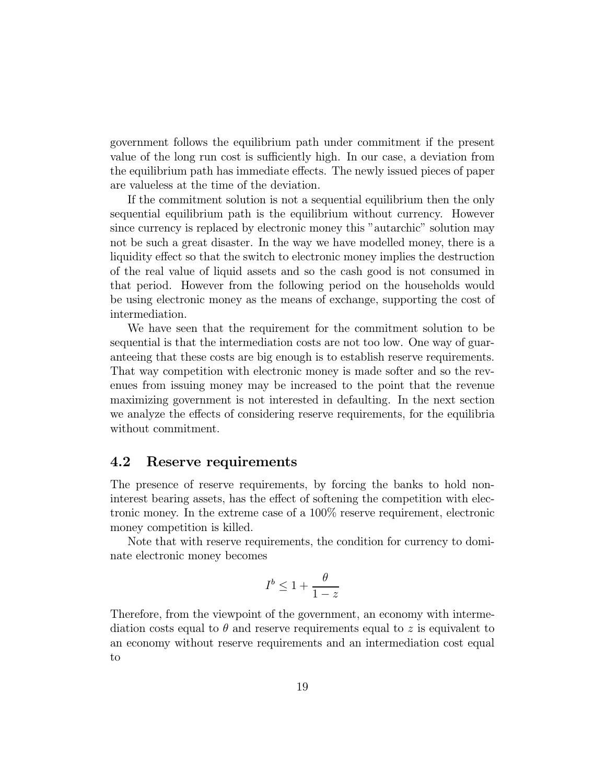government follows the equilibrium path under commitment if the present value of the long run cost is sufficiently high. In our case, a deviation from the equilibrium path has immediate effects. The newly issued pieces of paper are valueless at the time of the deviation.

If the commitment solution is not a sequential equilibrium then the only sequential equilibrium path is the equilibrium without currency. However since currency is replaced by electronic money this "autarchic" solution may not be such a great disaster. In the way we have modelled money, there is a liquidity effect so that the switch to electronic money implies the destruction of the real value of liquid assets and so the cash good is not consumed in that period. However from the following period on the households would be using electronic money as the means of exchange, supporting the cost of intermediation.

We have seen that the requirement for the commitment solution to be sequential is that the intermediation costs are not too low. One way of guarantering that these costs are big enough is to establish reserve requirements. That way competition with electronic money is made softer and so the revenues from issuing money may be increased to the point that the revenue maximizing government is not interested in defaulting. In the next section we analyze the effects of considering reserve requirements, for the equilibria without commitment.

#### 4.2 Reserve requirements

The presence of reserve requirements, by forcing the banks to hold noninterest bearing assets, has the effect of softening the competition with electronic money. In the extreme case of a 100% reserve requirement, electronic money competition is killed.

Note that with reserve requirements, the condition for currency to dominate electronic money becomes

$$
I^b \leq 1 + \frac{\theta}{1-z}
$$

Therefore, from the viewpoint of the government, an economy with intermediation costs equal to  $\theta$  and reserve requirements equal to z is equivalent to an economy without reserve requirements and an intermediation cost equal to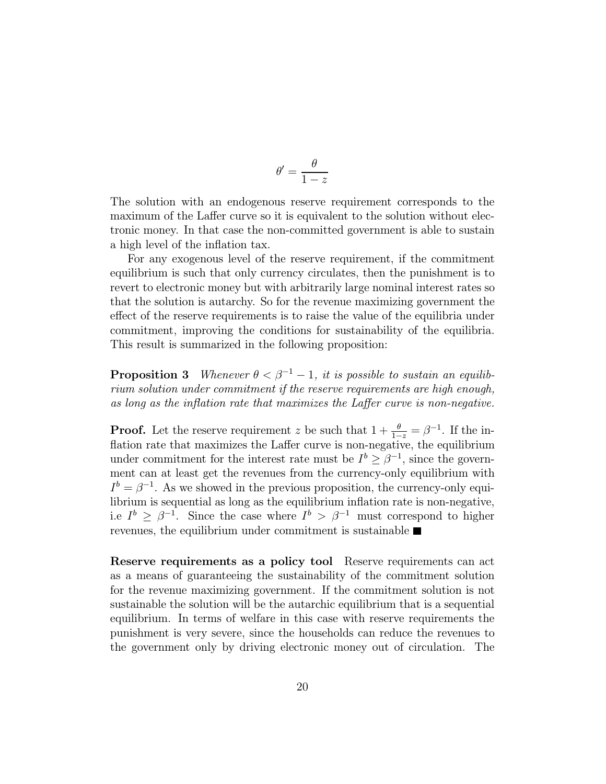$$
\theta' = \frac{\theta}{1 - z}
$$

The solution with an endogenous reserve requirement corresponds to the maximum of the Laffer curve so it is equivalent to the solution without electronic money. In that case the non-committed government is able to sustain a high level of the inflation tax.

For any exogenous level of the reserve requirement, if the commitment equilibrium is such that only currency circulates, then the punishment is to revert to electronic money but with arbitrarily large nominal interest rates so that the solution is auturchy. So for the revenue maximizing government the effect of the reserve requirements is to raise the value of the equilibria under commitment, improving the conditions for sustainability of the equilibria. This result is summarized in the following proposition:

**Proposition 3** Whenever  $\theta < \beta^{-1} - 1$ , it is possible to sustain an equilibrium solution under commitment if the reserve requirements are high enough, as long as the inflation rate that maximizes the Laffer curve is non-negative.

**Proof.** Let the reserve requirement z be such that  $1 + \frac{\theta}{1-z} = \beta^{-1}$ . If the inflation rate that maximizes the Laffer curve is non-negative, the equilibrium under commitment for the interest rate must be  $I^b > \beta^{-1}$ , since the government can at least get the revenues from the currency-only equilibrium with  $I^b = \beta^{-1}$ . As we showed in the previous proposition, the currency-only equilibrium is sequential as long as the equilibrium inflation rate is non-negative, i.e  $I^b \geq \beta^{-1}$ . Since the case where  $I^b > \beta^{-1}$  must correspond to higher revenues, the equilibrium under commitment is sustainable  $\blacksquare$ 

**Reserve requirements as a policy tool** Reserve requirements can act as a means of guaranteeing the sustainability of the commitment solution for the revenue maximizing government. If the commitment solution is not sustainable the solution will be the autorchic equilibrium that is a sequential equilibrium. In terms of welfare in this case with reserve requirements the punishment is very severe, since the households can reduce the revenues to the government only by driving electronic money out of circulation. The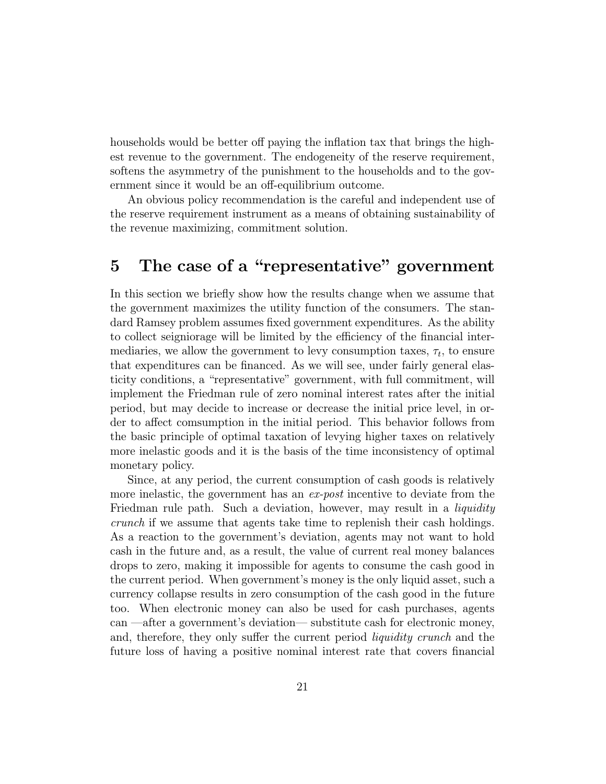households would be better off paying the inflation tax that brings the highest revenue to the government. The endogeneity of the reserve requirement, softens the asymmetry of the punishment to the households and to the government since it would be an off-equilibrium outcome.

An obvious policy recommendation is the careful and independent use of the reserve requirement instrument as a means of obtaining sustainability of the revenue maximizing, commitment solution.

## The case of a "representative" government  $\overline{5}$

In this section we briefly show how the results change when we assume that the government maximizes the utility function of the consumers. The standard Ramsey problem assumes fixed government expenditures. As the ability to collect seigniorage will be limited by the efficiency of the financial intermediaties, we allow the government to levy consumption taxes,  $\tau_t$ , to ensure that expenditures can be financed. As we will see, under fairly general elasticity conditions, a "representative" government, with full commitment, will implement the Friedman rule of zero nominal interest rates after the initial period, but may decide to increase or decrease the initial price level, in order to affect comsumption in the initial period. This behavior follows from the basic principle of optimal taxation of levying higher taxes on relatively more inelastic goods and it is the basis of the time inconsistency of optimal monetary policy.

Since, at any period, the current consumption of cash goods is relatively more inelastic, the government has an ex-post incentive to deviate from the Friedman rule path. Such a deviation, however, may result in a *liquidity crunch* if we assume that agents take time to replenish their cash holdings. As a reaction to the government's deviation, agents may not want to hold cash in the future and, as a result, the value of current real money balances drops to zero, making it impossible for agents to consume the cash good in the current period. When government's money is the only liquid asset, such a currency collapse results in zero consumption of the cash good in the future too. When electronic money can also be used for cash purchases, agents can —after a government's deviation— substitute cash for electronic money, and, therefore, they only suffer the current period *liquidity crunch* and the future loss of having a positive nominal interest rate that covers financial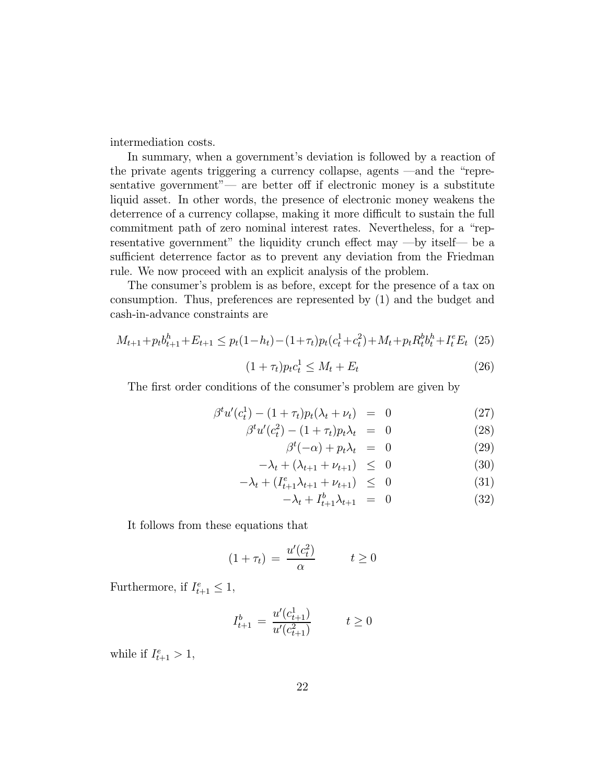intermediation costs.

In summary, when a government's deviation is followed by a reaction of the private agents triggering a currency collapse, agents —and the "representative government"— are better off if electronic money is a substitute liquid asset. In other words, the presence of electronic money weakens the deterrence of a currency collapse, making it more difficult to sustain the full commitment path of zero nominal interest rates. Nevertheless, for a "representative government" the liquidity crunch effect may  $-$ by itself— be a sufficient deterrence factor as to prevent any deviation from the Friedman rule. We now proceed with an explicit analysis of the problem.

The consumer's problem is as before, except for the presence of a tax on consumption. Thus, preferences are represented by (1) and the budget and cash-in-advance constraints are

$$
M_{t+1} + p_t b_{t+1}^h + E_{t+1} \leq p_t (1 - h_t) - (1 + \tau_t) p_t (c_t^1 + c_t^2) + M_t + p_t R_t^b b_t^h + I_t^e E_t \tag{25}
$$

$$
(1 + \tau_t) p_t c_t^1 \le M_t + E_t \tag{26}
$$

The first order conditions of the consumer's problem are given by

$$
\beta^{t} u'(c_{t}^{1}) - (1 + \tau_{t}) p_{t}(\lambda_{t} + \nu_{t}) = 0 \qquad (27)
$$

$$
\beta^t u'(c_t^2) - (1 + \tau_t) p_t \lambda_t = 0 \qquad (28)
$$

$$
\beta^t(-\alpha) + p_t \lambda_t = 0 \tag{29}
$$

$$
-\lambda_t + (\lambda_{t+1} + \nu_{t+1}) \leq 0 \tag{30}
$$

$$
-\lambda_t + (I_{t+1}^e \lambda_{t+1} + \nu_{t+1}) \leq 0 \tag{31}
$$

$$
-\lambda_t + I_{t+1}^b \lambda_{t+1} = 0 \tag{32}
$$

It follows from these equations that

$$
(1 + \tau_t) = \frac{u'(c_t^2)}{\alpha} \qquad \quad t \ge 0
$$

Furthermore, if  $I_{t+1}^e \leq 1$ ,

$$
I_{t+1}^b = \frac{u'(c_{t+1}^1)}{u'(c_{t+1}^2)} \qquad t \ge 0
$$

while if  $I_{t+1}^e > 1$ ,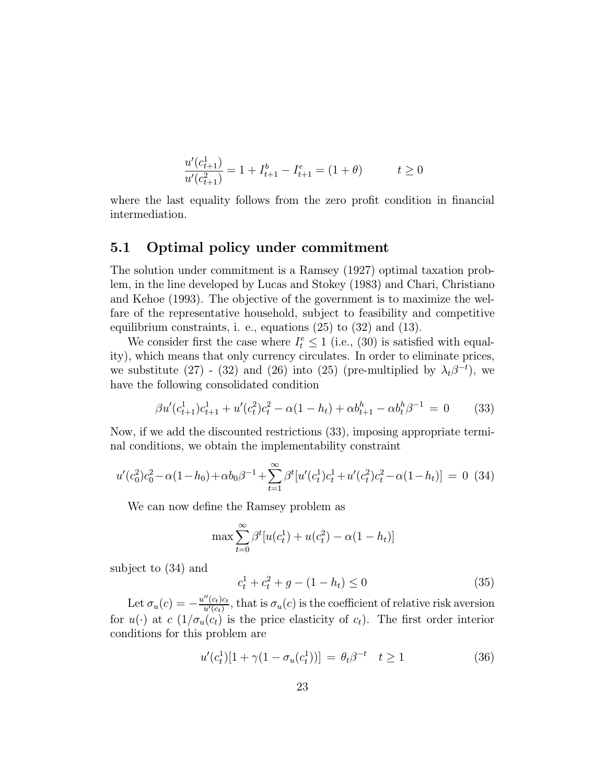$$
\frac{u'(c_{t+1}^1)}{u'(c_{t+1}^2)} = 1 + I_{t+1}^b - I_{t+1}^e = (1 + \theta) \qquad t \ge 0
$$

where the last equality follows from the zero profit condition in financial intermediation.

#### Optimal policy under commitment  $\mathbf{5.1}$

The solution under commitment is a Ramsey (1927) optimal taxation problem, in the line developed by Lucas and Stokey (1983) and Chari, Christiano and Kehoe (1993). The objective of the government is to maximize the welfare of the representative household, subject to feasibility and competitive equilibrium constraints, i. e., equations  $(25)$  to  $(32)$  and  $(13)$ .

We consider first the case where  $I_t^e \leq 1$  (i.e., (30) is satisfied with equality), which means that only currency circulates. In order to eliminate prices, we substitute (27) - (32) and (26) into (25) (pre-multiplied by  $\lambda_t \beta^{-t}$ ), we have the following consolidated condition

$$
\beta u'(c_{t+1}^1)c_{t+1}^1 + u'(c_t^2)c_t^2 - \alpha(1 - h_t) + \alpha b_{t+1}^h - \alpha b_t^h \beta^{-1} = 0 \qquad (33)
$$

Now, if we add the discounted restrictions (33), imposing appropriate terminal conditions, we obtain the implementability constraint

$$
u'(c_0^2)c_0^2 - \alpha(1 - h_0) + \alpha b_0 \beta^{-1} + \sum_{t=1}^{\infty} \beta^t [u'(c_t^1)c_t^1 + u'(c_t^2)c_t^2 - \alpha(1 - h_t)] = 0
$$
 (34)

We can now define the Ramsey problem as

$$
\max \sum_{t=0}^{\infty} \beta^{t} [u(c_{t}^{1}) + u(c_{t}^{2}) - \alpha (1 - h_{t})]
$$

subject to  $(34)$  and

$$
c_t^1 + c_t^2 + g - (1 - h_t) \le 0 \tag{35}
$$

Let  $\sigma_u(c) = -\frac{u''(c_t)c_t}{u'(c_t)}$ , that is  $\sigma_u(c)$  is the coefficient of relative risk aversion for  $u(\cdot)$  at  $c(1/\sigma_u(c_t))$  is the price elasticity of  $c_t$ ). The first order interior conditions for this problem are

$$
u'(c_t^1)[1 + \gamma (1 - \sigma_u(c_t^1))] = \theta_t \beta^{-t} \quad t \ge 1
$$
 (36)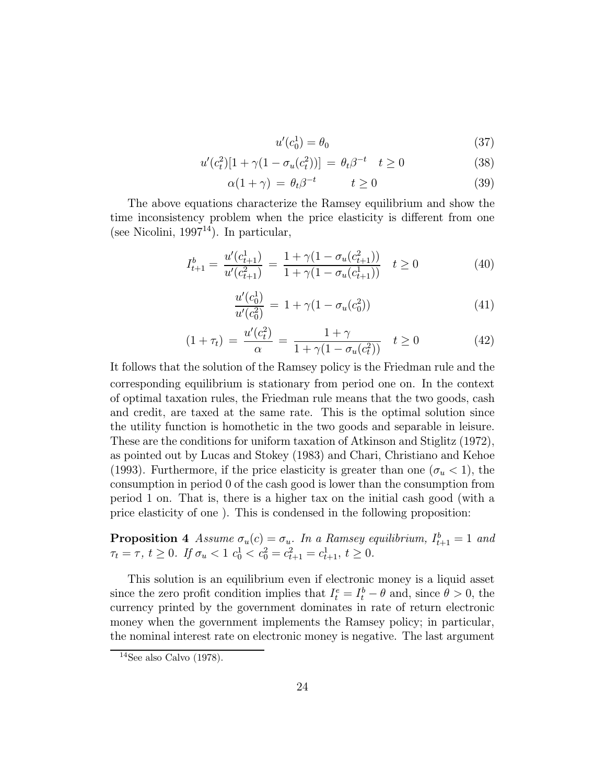$$
u'(c_0^1) = \theta_0 \tag{37}
$$

$$
u'(c_t^2)[1 + \gamma (1 - \sigma_u(c_t^2))] = \theta_t \beta^{-t} \quad t \ge 0 \tag{38}
$$

$$
\alpha(1+\gamma) = \theta_t \beta^{-t} \qquad t \ge 0 \tag{39}
$$

The above equations characterize the Ramsey equilibrium and show the time inconsistency problem when the price elasticity is different from one (see Nicolini, 1997<sup>14</sup>). In particular,

$$
I_{t+1}^b = \frac{u'(c_{t+1}^1)}{u'(c_{t+1}^2)} = \frac{1 + \gamma(1 - \sigma_u(c_{t+1}^2))}{1 + \gamma(1 - \sigma_u(c_{t+1}^1))} \quad t \ge 0
$$
 (40)

$$
\frac{u'(c_0^1)}{u'(c_0^2)} = 1 + \gamma(1 - \sigma_u(c_0^2))
$$
\n(41)

$$
(1 + \tau_t) = \frac{u'(c_t^2)}{\alpha} = \frac{1 + \gamma}{1 + \gamma(1 - \sigma_u(c_t^2))} \quad t \ge 0
$$
 (42)

It follows that the solution of the Ramsey policy is the Friedman rule and the corresponding equilibrium is stationary from period one on. In the context of optimal taxation rules, the Friedman rule means that the two goods, cash and credit, are taxed at the same rate. This is the optimal solution since the utility function is homothetic in the two goods and separable in leisure. These are the conditions for uniform taxation of Atkinson and Stiglitz (1972), as pointed out by Lucas and Stokey (1983) and Chari, Christiano and Kehoe (1993). Furthermore, if the price elasticity is greater than one  $(\sigma_u < 1)$ , the consumption in period 0 of the cash good is lower than the consumption from period 1 on. That is, there is a higher tax on the initial cash good (with a price elasticity of one). This is condensed in the following proposition:

**Proposition 4** Assume  $\sigma_u(c) = \sigma_u$ . In a Ramsey equilibrium,  $I_{t+1}^b = 1$  and  $\tau_t = \tau$ ,  $t \ge 0$ . If  $\sigma_u < 1$   $c_0^1 < c_0^2 = c_{t+1}^2 = c_{t+1}^1$ ,  $t \ge 0$ .

This solution is an equilibrium even if electronic money is a liquid asset since the zero profit condition implies that  $I_t^e = I_t^b - \theta$  and, since  $\theta > 0$ , the currency printed by the government dominates in rate of return electronic money when the government implements the Ramsey policy; in particular, the nominal interest rate on electronic money is negative. The last argument

<sup>&</sup>lt;sup>14</sup>See also Calvo  $(1978)$ .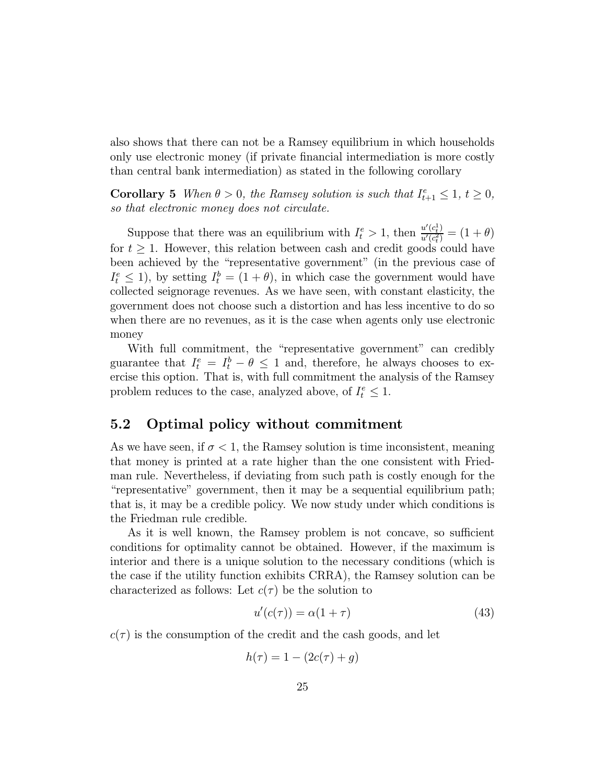also shows that there can not be a Ramsey equilibrium in which households only use electronic money (if private financial intermediation is more costly than central bank intermediation) as stated in the following corollary

**Corollary 5** When  $\theta > 0$ , the Ramsey solution is such that  $I_{t+1}^e \leq 1$ ,  $t \geq 0$ , so that electronic money does not circulate.

Suppose that there was an equilibrium with  $I_t^e > 1$ , then  $\frac{u'(c_t^1)}{u'(c_t^2)} = (1 + \theta)$ for  $t \geq 1$ . However, this relation between cash and credit goods could have been achieved by the "representative government" (in the previous case of  $I_t^e \leq 1$ , by setting  $I_t^b = (1 + \theta)$ , in which case the government would have collected seignorage revenues. As we have seen, with constant elasticity, the government does not choose such a distortion and has less incentive to do so when there are no revenues, as it is the case when agents only use electronic money

With full commitment, the "representative government" can credibly guarantee that  $I_t^e = I_t^b - \theta \leq 1$  and, therefore, he always chooses to exercise this option. That is, with full commitment the analysis of the Ramsey problem reduces to the case, analyzed above, of  $I_t^e \leq 1$ .

#### $5.2$ Optimal policy without commitment

As we have seen, if  $\sigma < 1$ , the Ramsey solution is time inconsistent, meaning that money is printed at a rate higher than the one consistent with Friedman rule. Nevertheless, if deviating from such path is costly enough for the "representative" government, then it may be a sequential equilibrium path; that is, it may be a credible policy. We now study under which conditions is the Friedman rule credible.

As it is well known, the Ramsey problem is not concave, so sufficient conditions for optimality cannot be obtained. However, if the maximum is interior and there is a unique solution to the necessary conditions (which is the case if the utility function exhibits CRRA), the Ramsey solution can be characterized as follows: Let  $c(\tau)$  be the solution to

$$
u'(c(\tau)) = \alpha(1+\tau) \tag{43}
$$

 $c(\tau)$  is the consumption of the credit and the cash goods, and let

$$
h(\tau) = 1 - (2c(\tau) + g)
$$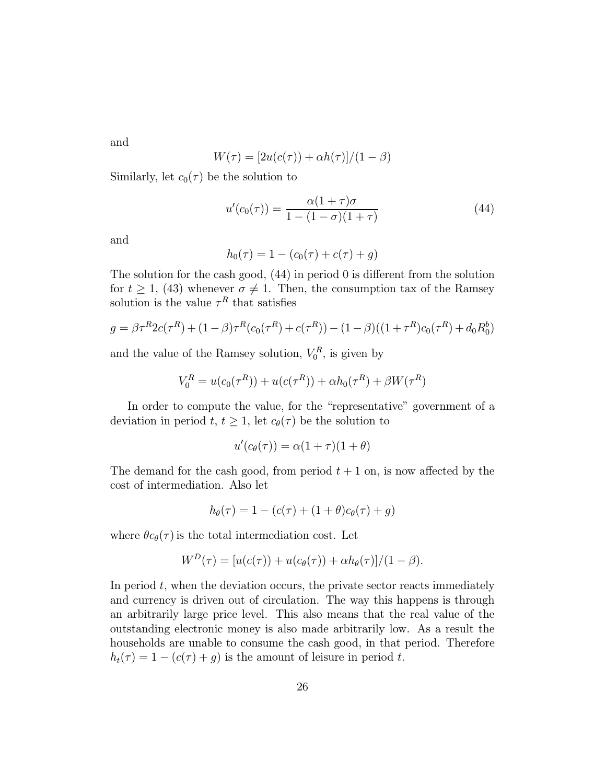and

$$
W(\tau) = \frac{[2u(c(\tau)) + \alpha h(\tau)]}{(1 - \beta)}
$$

Similarly, let  $c_0(\tau)$  be the solution to

$$
u'(c_0(\tau)) = \frac{\alpha(1+\tau)\sigma}{1 - (1-\sigma)(1+\tau)}
$$
\n(44)

and

$$
h_0(\tau) = 1 - (c_0(\tau) + c(\tau) + g)
$$

The solution for the cash good,  $(44)$  in period 0 is different from the solution for  $t \ge 1$ , (43) whenever  $\sigma \ne 1$ . Then, the consumption tax of the Ramsey solution is the value  $\tau^R$  that satisfies

$$
g = \beta \tau^R 2c(\tau^R) + (1 - \beta)\tau^R (c_0(\tau^R) + c(\tau^R)) - (1 - \beta)((1 + \tau^R)c_0(\tau^R) + d_0 R_0^b)
$$

and the value of the Ramsey solution,  $V_0^R$ , is given by

$$
V_0^R = u(c_0(\tau^R)) + u(c(\tau^R)) + \alpha h_0(\tau^R) + \beta W(\tau^R)
$$

In order to compute the value, for the "representative" government of a deviation in period t,  $t \geq 1$ , let  $c_{\theta}(\tau)$  be the solution to

$$
u'(c_{\theta}(\tau)) = \alpha(1+\tau)(1+\theta)
$$

The demand for the cash good, from period  $t + 1$  on, is now affected by the cost of intermediation. Also let

$$
h_{\theta}(\tau) = 1 - (c(\tau) + (1 + \theta)c_{\theta}(\tau) + g)
$$

where  $\theta c_{\theta}(\tau)$  is the total intermediation cost. Let

$$
W^{D}(\tau) = [u(c(\tau)) + u(c_{\theta}(\tau)) + \alpha h_{\theta}(\tau)]/(1 - \beta).
$$

In period  $t$ , when the deviation occurs, the private sector reacts immediately and currency is driven out of circulation. The way this happens is through an arbitrarily large price level. This also means that the real value of the outstanding electronic money is also made arbitrarily low. As a result the households are unable to consume the cash good, in that period. Therefore  $h_t(\tau) = 1 - (c(\tau) + g)$  is the amount of leisure in period t.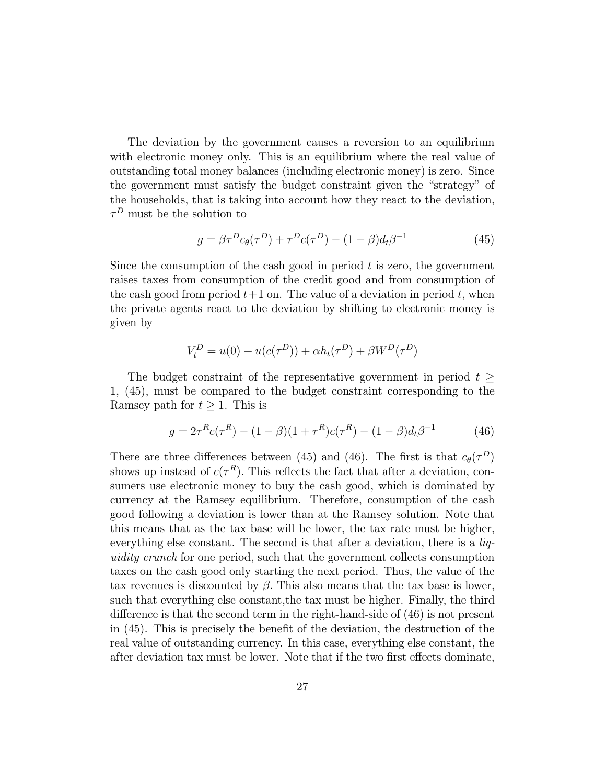The deviation by the government causes a reversion to an equilibrium with electronic money only. This is an equilibrium where the real value of outstanding total money balances (including electronic money) is zero. Since the government must satisfy the budget constraint given the "strategy" of the households, that is taking into account how they react to the deviation,  $\tau^D$  must be the solution to

$$
g = \beta \tau^D c_{\theta}(\tau^D) + \tau^D c(\tau^D) - (1 - \beta) d_t \beta^{-1}
$$
 (45)

Since the consumption of the cash good in period  $t$  is zero, the government raises taxes from consumption of the credit good and from consumption of the cash good from period  $t+1$  on. The value of a deviation in period t, when the private agents react to the deviation by shifting to electronic money is given by

$$
V_t^D = u(0) + u(c(\tau^D)) + \alpha h_t(\tau^D) + \beta W^D(\tau^D)
$$

The budget constraint of the representative government in period  $t \geq$ 1, (45), must be compared to the budget constraint corresponding to the Ramsey path for  $t \geq 1$ . This is

$$
g = 2\tau^{R}c(\tau^{R}) - (1 - \beta)(1 + \tau^{R})c(\tau^{R}) - (1 - \beta)d_{t}\beta^{-1}
$$
 (46)

There are three differences between (45) and (46). The first is that  $c_{\theta}(\tau^D)$ shows up instead of  $c(\tau^R)$ . This reflects the fact that after a deviation, consumers use electronic money to buy the cash good, which is dominated by currency at the Ramsey equilibrium. Therefore, consumption of the cash good following a deviation is lower than at the Ramsey solution. Note that this means that as the tax base will be lower, the tax rate must be higher, everything else constant. The second is that after a deviation, there is a *liguidity crunch* for one period, such that the government collects consumption taxes on the cash good only starting the next period. Thus, the value of the tax revenues is discounted by  $\beta$ . This also means that the tax base is lower, such that everything else constant, the tax must be higher. Finally, the third difference is that the second term in the right-hand-side of  $(46)$  is not present in  $(45)$ . This is precisely the benefit of the deviation, the destruction of the real value of outstanding currency. In this case, everything else constant, the after deviation tax must be lower. Note that if the two first effects dominate,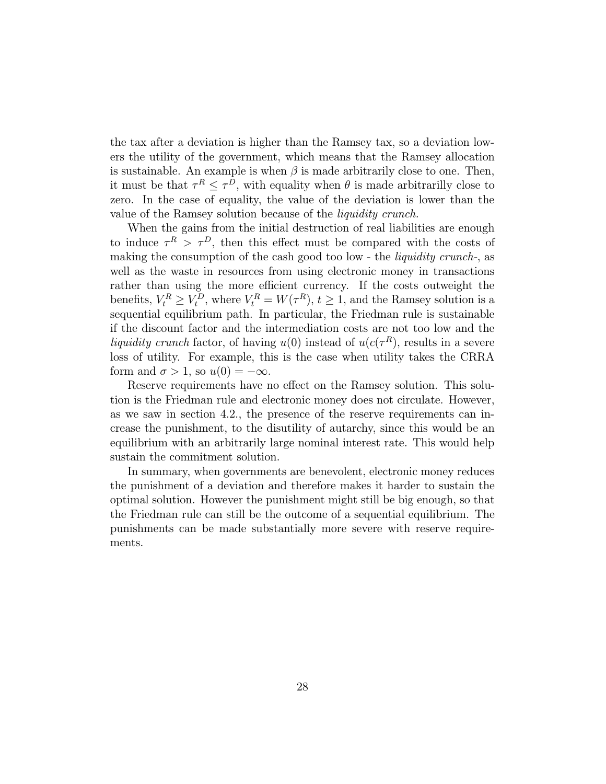the tax after a deviation is higher than the Ramsey tax, so a deviation lowers the utility of the government, which means that the Ramsey allocation is sustainable. An example is when  $\beta$  is made arbitrarily close to one. Then, it must be that  $\tau^R \leq \tau^D$ , with equality when  $\theta$  is made arbitrarilly close to zero. In the case of equality, the value of the deviation is lower than the value of the Ramsey solution because of the *liquidity crunch*.

When the gains from the initial destruction of real liabilities are enough to induce  $\tau^R > \tau^D$ , then this effect must be compared with the costs of making the consumption of the cash good too low - the *liquidity crunch*-, as well as the waste in resources from using electronic money in transactions rather than using the more efficient currency. If the costs outweight the benefits,  $V_t^R \geq V_t^D$ , where  $V_t^R = W(\tau^R)$ ,  $t \geq 1$ , and the Ramsey solution is a sequential equilibrium path. In particular, the Friedman rule is sustainable if the discount factor and the intermediation costs are not too low and the liquidity crunch factor, of having  $u(0)$  instead of  $u(c(\tau^R))$ , results in a severe loss of utility. For example, this is the case when utility takes the CRRA form and  $\sigma > 1$ , so  $u(0) = -\infty$ .

Reserve requirements have no effect on the Ramsey solution. This solution is the Friedman rule and electronic money does not circulate. However, as we saw in section 4.2., the presence of the reserve requirements can increase the punishment, to the disubility of autarchy, since this would be an equilibrium with an arbitrarily large nominal interest rate. This would help sustain the commitment solution.

In summary, when governments are benevolent, electronic money reduces the punishment of a deviation and therefore makes it harder to sustain the optimal solution. However the punishment might still be big enough, so that the Friedman rule can still be the outcome of a sequential equilibrium. The punishments can be made substantially more severe with reserve requirements.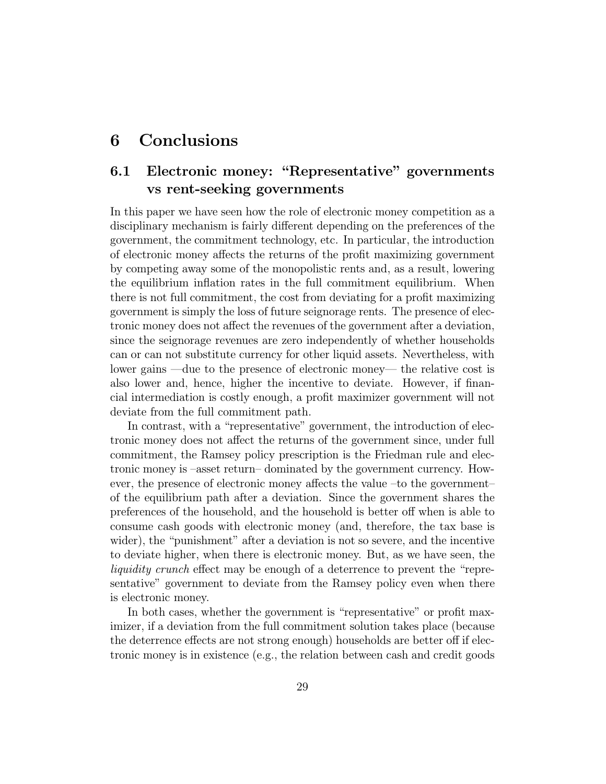## Conclusions 6

## Electronic money: "Representative" governments  $6.1$ vs rent-seeking governments

In this paper we have seen how the role of electronic money competition as a disciplinary mechanism is fairly different depending on the preferences of the government, the commitment technology, etc. In particular, the introduction of electronic money affects the returns of the profit maximizing government by competing away some of the monopolistic rents and, as a result, lowering the equilibrium inflation rates in the full commitment equilibrium. When there is not full commitment, the cost from deviating for a profit maximizing government is simply the loss of future seignorage rents. The presence of electronic money does not affect the revenues of the government after a deviation, since the seignorage revenues are zero independently of whether households can or can not substitute currency for other liquid assets. Nevertheless, with lower gains —due to the presence of electronic money— the relative cost is also lower and, hence, higher the incentive to deviate. However, if financial intermediation is costly enough, a profit maximizer government will not deviate from the full commitment path.

In contrast, with a "representative" government, the introduction of electronic money does not affect the returns of the government since, under full commitment, the Ramsey policy prescription is the Friedman rule and electronic money is –asset return– dominated by the government currency. However, the presence of electronic money affects the value –to the government– of the equilibrium path after a deviation. Since the government shares the preferences of the household, and the household is better off when is able to consume cash goods with electronic money (and, therefore, the tax base is wider), the "punishment" after a deviation is not so severe, and the incentive to deviate higher, when there is electronic money. But, as we have seen, the *liquidity crunch* effect may be enough of a deterrence to prevent the "representative" government to deviate from the Ramsey policy even when there is electronic money.

In both cases, whether the government is "representative" or profit maximizer, if a deviation from the full commitment solution takes place (because the deterrence effects are not strong enough) households are better off if electronic money is in existence (e.g., the relation between cash and credit goods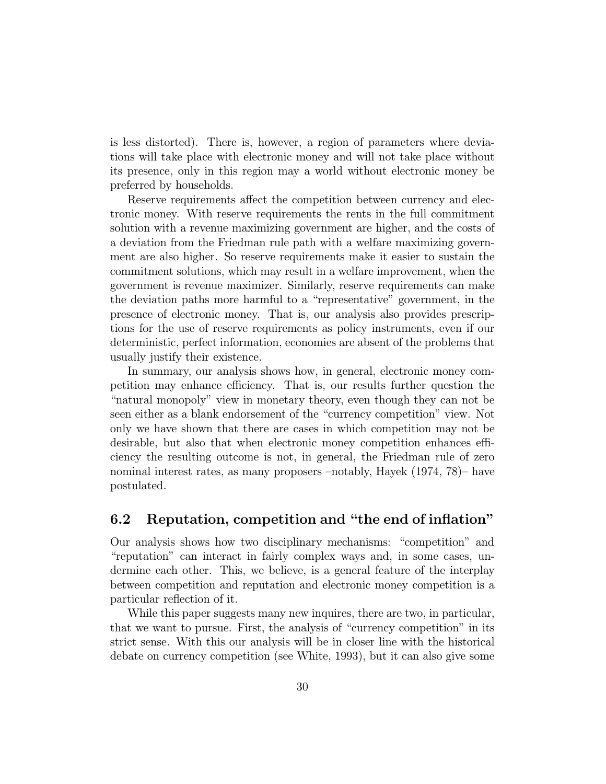is less distorted). There is, however, a region of parameters where deviations will take place with electronic money and will not take place without its presence, only in this region may a world without electronic money be preferred by households.

Reserve requirements affect the competition between currency and electronic money. With reserve requirements the rents in the full commitment solution with a revenue maximizing government are higher, and the costs of a deviation from the Friedman rule path with a welfare maximizing government are also higher. So reserve requirements make it easier to sustain the commitment solutions, which may result in a welfare improvement, when the government is revenue maximizer. Similarly, reserve requirements can make the deviation paths more harmful to a "representative" government, in the presence of electronic money. That is, our analysis also provides prescriptions for the use of reserve requirements as policy instruments, even if our deterministic, perfect information, economies are absent of the problems that usually justify their existence.

In summary, our analysis shows how, in general, electronic money competition may enhance efficiency. That is, our results further question the "natural monopoly" view in monetary theory, even though they can not be seen either as a blank endorsement of the "currency competition" view. Not only we have shown that there are cases in which competition may not be desirable, but also that when electronic money competition enhances efficiency the resulting outcome is not, in general, the Friedman rule of zero nominal interest rates, as many proposers  $-\text{notably}$ , Hayek (1974, 78)– have postulated.

#### 6.2 Reputation, competition and "the end of inflation"

Our analysis shows how two disciplinary mechanisms: "competition" and "reputation" can interact in fairly complex ways and, in some cases, undermine each other. This, we believe, is a general feature of the interplay between competition and reputation and electronic money competition is a particular reflection of it.

While this paper suggests many new inquires, there are two, in particular, that we want to pursue. First, the analysis of "currency competition" in its strict sense. With this our analysis will be in closer line with the historical debate on currency competition (see White, 1993), but it can also give some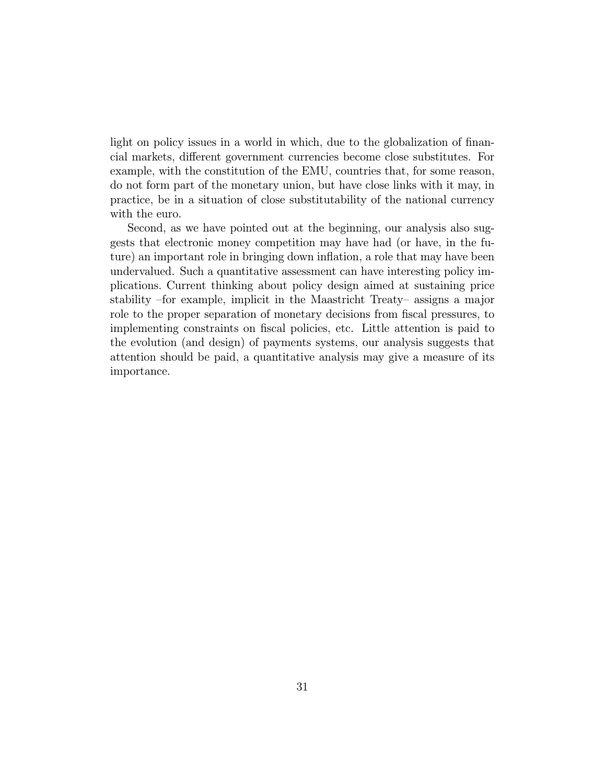light on policy issues in a world in which, due to the globalization of financial markets, different government currencies become close substitutes. For example, with the constitution of the EMU, countries that, for some reason, do not form part of the monetary union, but have close links with it may, in practice, be in a situation of close substitutability of the national currency with the euro.

Second, as we have pointed out at the beginning, our analysis also suggests that electronic money competition may have had (or have, in the future) an important role in bringing down inflation, a role that may have been undervalued. Such a quantitative assessment can have interesting policy implications. Current thinking about policy design aimed at sustaining price stability –for example, implicit in the Maastricht Treaty– assigns a major role to the proper separation of monetary decisions from fiscal pressures, to implementing constraints on fiscal policies, etc. Little attention is paid to the evolution (and design) of payments systems, our analysis suggests that attention should be paid, a quantitative analysis may give a measure of its importance.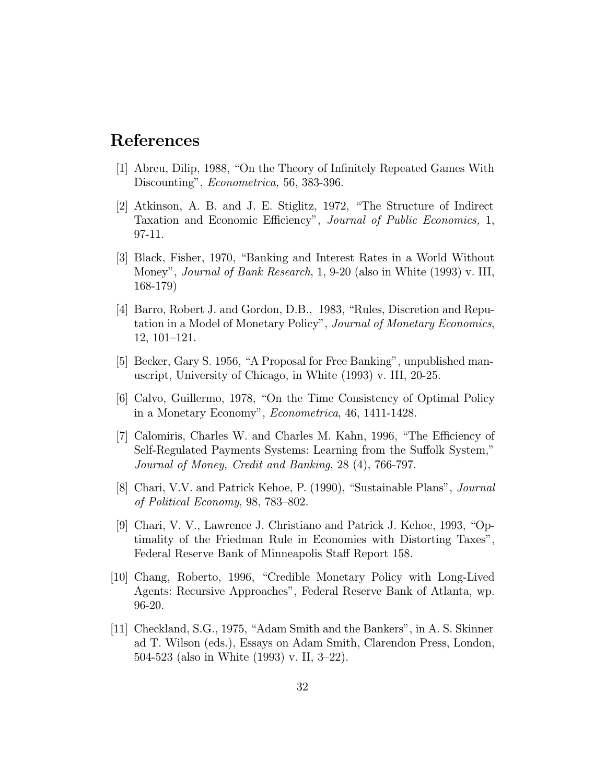# References

- [1] Abreu, Dilip, 1988, "On the Theory of Infinitely Repeated Games With Discounting", *Econometrica*, 56, 383-396.
- [2] Atkinson, A. B. and J. E. Stiglitz, 1972, "The Structure of Indirect Taxation and Economic Efficiency", Journal of Public Economics, 1, 97-11.
- [3] Black, Fisher, 1970, "Banking and Interest Rates in a World Without Money", Journal of Bank Research, 1, 9-20 (also in White (1993) v. III,  $168-179$
- [4] Barro, Robert J. and Gordon, D.B., 1983, "Rules, Discretion and Reputation in a Model of Monetary Policy", Journal of Monetary Economics,  $12, 101 - 121.$
- [5] Becker, Gary S. 1956, "A Proposal for Free Banking", unpublished manuscript, University of Chicago, in White (1993) v. III, 20-25.
- [6] Calvo, Guillermo, 1978, "On the Time Consistency of Optimal Policy in a Monetary Economy", *Econometrica*, 46, 1411-1428.
- [7] Calomiris, Charles W. and Charles M. Kahn, 1996, "The Efficiency of Self-Regulated Payments Systems: Learning from the Suffolk System," Journal of Money, Credit and Banking, 28 (4), 766-797.
- [8] Chari, V.V. and Patrick Kehoe, P. (1990), "Sustainable Plans", *Journal* of Political Economy, 98, 783-802.
- [9] Chari, V. V., Lawrence J. Christiano and Patrick J. Kehoe, 1993, "Optimality of the Friedman Rule in Economies with Distorting Taxes". Federal Reserve Bank of Minneapolis Staff Report 158.
- [10] Chang, Roberto, 1996, "Credible Monetary Policy with Long-Lived Agents: Recursive Approaches", Federal Reserve Bank of Atlanta, wp.  $96 - 20.$
- [11] Checkland, S.G., 1975, "Adam Smith and the Bankers", in A.S. Skinner ad T. Wilson (eds.), Essays on Adam Smith, Clarendon Press, London, 504-523 (also in White  $(1993)$  v. II, 3-22).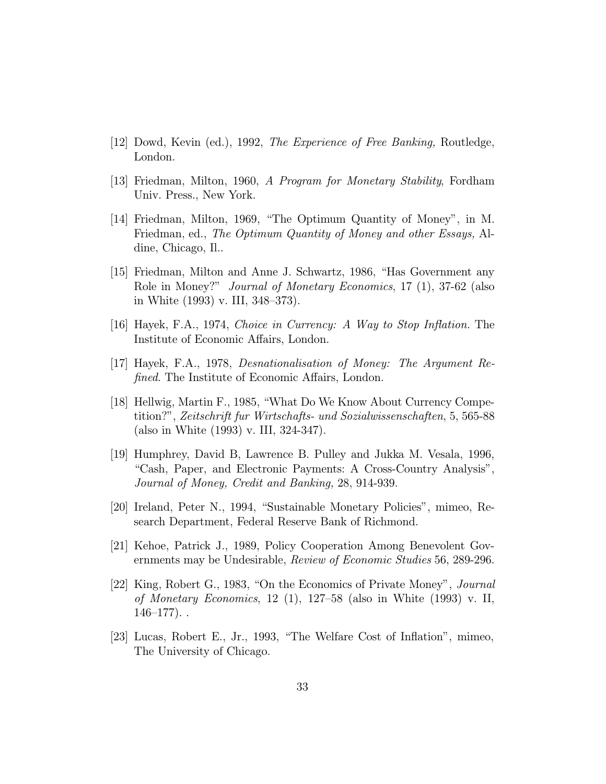- [12] Dowd, Kevin (ed.), 1992, The Experience of Free Banking, Routledge, London.
- [13] Friedman, Milton, 1960, A Program for Monetary Stability, Fordham Univ. Press., New York.
- [14] Friedman, Milton, 1969, "The Optimum Quantity of Money", in M. Friedman, ed., The Optimum Quantity of Money and other Essays, Aldine, Chicago, Il..
- [15] Friedman, Milton and Anne J. Schwartz, 1986, "Has Government any Role in Money?" *Journal of Monetary Economics*, 17 (1), 37-62 (also in White  $(1993)$  v. III, 348-373).
- [16] Hayek, F.A., 1974, Choice in Currency: A Way to Stop Inflation. The Institute of Economic Affairs, London.
- $|17|$  Hayek, F.A., 1978, Desnationalisation of Money: The Argument Re*fined*. The Institute of Economic Affairs, London.
- [18] Hellwig, Martin F., 1985, "What Do We Know About Currency Competition?", Zeitschrift fur Wirtschafts- und Sozialwissenschaften, 5, 565-88 (also in White  $(1993)$  v. III, 324-347).
- [19] Humphrey, David B, Lawrence B. Pulley and Jukka M. Vesala, 1996, "Cash, Paper, and Electronic Payments: A Cross-Country Analysis", Journal of Money, Credit and Banking, 28, 914-939.
- [20] Ireland, Peter N., 1994, "Sustainable Monetary Policies", mimeo, Research Department, Federal Reserve Bank of Richmond.
- [21] Kehoe, Patrick J., 1989, Policy Cooperation Among Benevolent Governments may be Undesirable, Review of Economic Studies 56, 289-296.
- [22] King, Robert G., 1983, "On the Economics of Private Money", *Journal* of Monetary Economics, 12 (1), 127–58 (also in White  $(1993)$  v. II,  $146 - 177$ )..
- [23] Lucas, Robert E., Jr., 1993, "The Welfare Cost of Inflation", mimeo, The University of Chicago.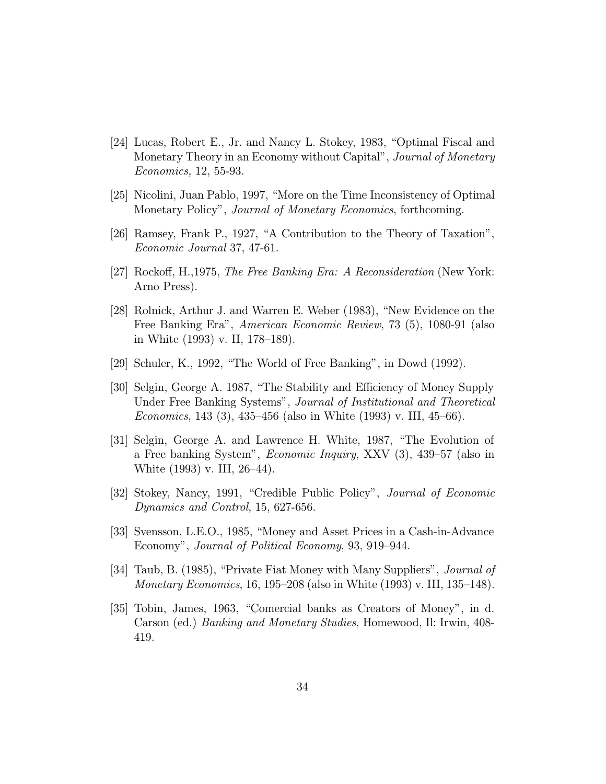- [24] Lucas, Robert E., Jr. and Nancy L. Stokey, 1983, "Optimal Fiscal and Monetary Theory in an Economy without Capital", *Journal of Monetary* Economics, 12, 55-93.
- [25] Nicolini, Juan Pablo, 1997, "More on the Time Inconsistency of Optimal Monetary Policy", *Journal of Monetary Economics*, forthcoming.
- [26] Ramsey, Frank P., 1927, "A Contribution to the Theory of Taxation", Economic Journal 37, 47-61.
- [27] Rockoff, H., 1975, The Free Banking Era: A Reconsideration (New York: Arno Press).
- [28] Rolnick, Arthur J. and Warren E. Weber (1983), "New Evidence on the Free Banking Era", *American Economic Review*, 73 (5), 1080-91 (also in White  $(1993)$  v. II,  $178-189$ ).
- [29] Schuler, K., 1992, "The World of Free Banking", in Dowd  $(1992)$ .
- [30] Selgin, George A. 1987, "The Stability and Efficiency of Money Supply Under Free Banking Systems", Journal of Institutional and Theoretical *Economics*, 143 (3), 435–456 (also in White (1993) v. III, 45–66).
- [31] Selgin, George A. and Lawrence H. White, 1987, "The Evolution of a Free banking System", *Economic Inquiry*, XXV (3), 439–57 (also in White  $(1993)$  v. III,  $26-44$ ).
- [32] Stokey, Nancy, 1991, "Credible Public Policy", *Journal of Economic* Dynamics and Control, 15, 627-656.
- [33] Svensson, L.E.O., 1985, "Money and Asset Prices in a Cash-in-Advance Economy", Journal of Political Economy, 93, 919–944.
- [34] Taub, B. (1985), "Private Fiat Money with Many Suppliers", *Journal of Monetary Economics*, 16, 195–208 (also in White  $(1993)$  v. III, 135–148).
- [35] Tobin, James, 1963, "Comercial banks as Creators of Money", in d. Carson (ed.) *Banking and Monetary Studies*, Homewood, Il: Irwin, 408-419.